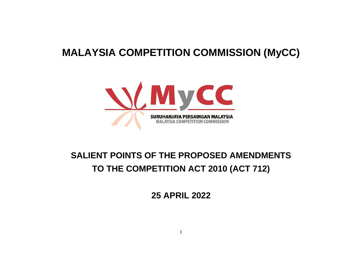# **MALAYSIA COMPETITION COMMISSION (MyCC)**



# **SALIENT POINTS OF THE PROPOSED AMENDMENTS TO THE COMPETITION ACT 2010 (ACT 712)**

**25 APRIL 2022**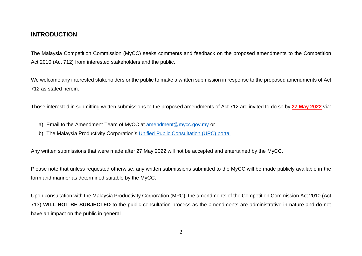#### **INTRODUCTION**

The Malaysia Competition Commission (MyCC) seeks comments and feedback on the proposed amendments to the Competition Act 2010 (Act 712) from interested stakeholders and the public.

We welcome any interested stakeholders or the public to make a written submission in response to the proposed amendments of Act 712 as stated herein.

Those interested in submitting written submissions to the proposed amendments of Act 712 are invited to do so by **27 May 2022** via:

- a) Email to the Amendment Team of MyCC at [amendment@mycc.gov.my](mailto:amendment@mycc.gov.my) or
- b) The Malaysia Productivity Corporation's [Unified Public Consultation \(UPC\) portal](https://upc.mpc.gov.my/csp/sys/bi/work/upc/shareThumbnail/MYCC485.csp?$NAMESPACE=UPC&redirPage=regulation&redRegId=485&redId=2®Id=485)

Any written submissions that were made after 27 May 2022 will not be accepted and entertained by the MyCC.

Please note that unless requested otherwise, any written submissions submitted to the MyCC will be made publicly available in the form and manner as determined suitable by the MyCC.

Upon consultation with the Malaysia Productivity Corporation (MPC), the amendments of the Competition Commission Act 2010 (Act 713) **WILL NOT BE SUBJECTED** to the public consultation process as the amendments are administrative in nature and do not have an impact on the public in general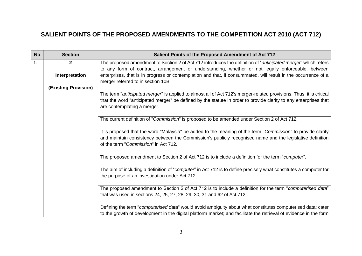### **SALIENT POINTS OF THE PROPOSED AMENDMENTS TO THE COMPETITION ACT 2010 (ACT 712)**

| <b>No</b>      | <b>Section</b>              | Salient Points of the Proposed Amendment of Act 712                                                                                                                                                                                                                    |
|----------------|-----------------------------|------------------------------------------------------------------------------------------------------------------------------------------------------------------------------------------------------------------------------------------------------------------------|
| $\mathbf{1}$ . | $\mathbf{2}$                | The proposed amendment to Section 2 of Act 712 introduces the definition of "anticipated merger" which refers<br>to any form of contract, arrangement or understanding, whether or not legally enforceable, between                                                    |
|                | Interpretation              | enterprises, that is in progress or contemplation and that, if consummated, will result in the occurrence of a<br>merger referred to in section 10B;                                                                                                                   |
|                | <b>(Existing Provision)</b> |                                                                                                                                                                                                                                                                        |
|                |                             | The term "anticipated merger" is applied to almost all of Act 712's merger-related provisions. Thus, it is critical<br>that the word "anticipated merger" be defined by the statute in order to provide clarity to any enterprises that<br>are contemplating a merger. |
|                |                             |                                                                                                                                                                                                                                                                        |
|                |                             | The current definition of "Commission" is proposed to be amended under Section 2 of Act 712.                                                                                                                                                                           |
|                |                             | It is proposed that the word "Malaysia" be added to the meaning of the term "Commission" to provide clarity<br>and maintain consistency between the Commission's publicly recognised name and the legislative definition<br>of the term "Commission" in Act 712.       |
|                |                             | The proposed amendment to Section 2 of Act 712 is to include a definition for the term "computer".                                                                                                                                                                     |
|                |                             | The aim of including a definition of "computer" in Act 712 is to define precisely what constitutes a computer for<br>the purpose of an investigation under Act 712.                                                                                                    |
|                |                             | The proposed amendment to Section 2 of Act 712 is to include a definition for the term "computerised data"                                                                                                                                                             |
|                |                             | that was used in sections 24, 25, 27, 28, 29, 30, 31 and 62 of Act 712.                                                                                                                                                                                                |
|                |                             | Defining the term "computerised data" would avoid ambiguity about what constitutes computerised data; cater<br>to the growth of development in the digital platform market; and facilitate the retrieval of evidence in the form                                       |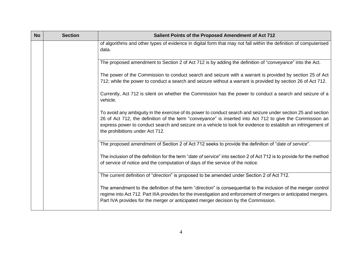| <b>No</b> | <b>Section</b> | Salient Points of the Proposed Amendment of Act 712                                                                                                                                                                                                                                                                                                                             |
|-----------|----------------|---------------------------------------------------------------------------------------------------------------------------------------------------------------------------------------------------------------------------------------------------------------------------------------------------------------------------------------------------------------------------------|
|           |                | of algorithms and other types of evidence in digital form that may not fall within the definition of computerised<br>data.                                                                                                                                                                                                                                                      |
|           |                | The proposed amendment to Section 2 of Act 712 is by adding the definition of "conveyance" into the Act.                                                                                                                                                                                                                                                                        |
|           |                | The power of the Commission to conduct search and seizure with a warrant is provided by section 25 of Act<br>712; while the power to conduct a search and seizure without a warrant is provided by section 26 of Act 712.                                                                                                                                                       |
|           |                | Currently, Act 712 is silent on whether the Commission has the power to conduct a search and seizure of a<br>vehicle.                                                                                                                                                                                                                                                           |
|           |                | To avoid any ambiguity in the exercise of its power to conduct search and seizure under section 25 and section<br>26 of Act 712, the definition of the term "conveyance" is inserted into Act 712 to give the Commission an<br>express power to conduct search and seizure on a vehicle to look for evidence to establish an infringement of<br>the prohibitions under Act 712. |
|           |                | The proposed amendment of Section 2 of Act 712 seeks to provide the definition of "date of service".                                                                                                                                                                                                                                                                            |
|           |                | The inclusion of the definition for the term "date of service" into section 2 of Act 712 is to provide for the method<br>of service of notice and the computation of days of the service of the notice.                                                                                                                                                                         |
|           |                | The current definition of "direction" is proposed to be amended under Section 2 of Act 712.                                                                                                                                                                                                                                                                                     |
|           |                | The amendment to the definition of the term "direction" is consequential to the inclusion of the merger control<br>regime into Act 712. Part IIIA provides for the investigation and enforcement of mergers or anticipated mergers.<br>Part IVA provides for the merger or anticipated merger decision by the Commission.                                                       |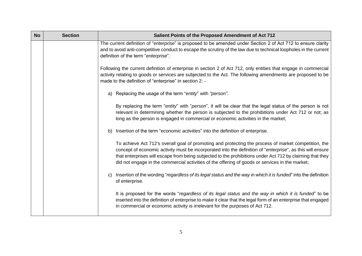| <b>No</b> | <b>Section</b> | Salient Points of the Proposed Amendment of Act 712                                                                                                                                                                                                                                                                                                                                                                                         |
|-----------|----------------|---------------------------------------------------------------------------------------------------------------------------------------------------------------------------------------------------------------------------------------------------------------------------------------------------------------------------------------------------------------------------------------------------------------------------------------------|
|           |                | The current definition of "enterprise" is proposed to be amended under Section 2 of Act 712 to ensure clarity<br>and to avoid anti-competitive conduct to escape the scrutiny of the law due to technical loopholes in the current<br>definition of the term "enterprise".                                                                                                                                                                  |
|           |                | Following the current definition of enterprise in section 2 of Act 712, only entities that engage in commercial<br>activity relating to goods or services are subjected to the Act. The following amendments are proposed to be<br>made to the definition of "enterprise" in section 2: -                                                                                                                                                   |
|           |                | a) Replacing the usage of the term "entity" with "person".                                                                                                                                                                                                                                                                                                                                                                                  |
|           |                | By replacing the term "entity" with "person", it will be clear that the legal status of the person is not<br>relevant in determining whether the person is subjected to the prohibitions under Act 712 or not; as<br>long as the person is engaged in commercial or economic activities in the market;                                                                                                                                      |
|           |                | Insertion of the term "economic activities" into the definition of enterprise.<br>b)                                                                                                                                                                                                                                                                                                                                                        |
|           |                | To achieve Act 712's overall goal of promoting and protecting the process of market competition, the<br>concept of economic activity must be incorporated into the definition of " <i>enterprise</i> ", as this will ensure<br>that enterprises will escape from being subjected to the prohibitions under Act 712 by claiming that they<br>did not engage in the commercial activities of the offering of goods or services in the market; |
|           |                | Insertion of the wording "regardless of its legal status and the way in which it is funded" into the definition<br>C)<br>of enterprise.                                                                                                                                                                                                                                                                                                     |
|           |                | It is proposed for the words "regardless of its legal status and the way in which it is funded" to be<br>inserted into the definition of enterprise to make it clear that the legal form of an enterprise that engaged<br>in commercial or economic activity is irrelevant for the purposes of Act 712.                                                                                                                                     |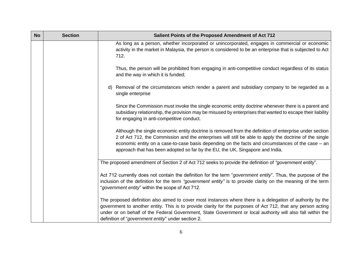| <b>No</b> | <b>Section</b> | Salient Points of the Proposed Amendment of Act 712                                                                                                                                                                                                                                                                                                                                                      |
|-----------|----------------|----------------------------------------------------------------------------------------------------------------------------------------------------------------------------------------------------------------------------------------------------------------------------------------------------------------------------------------------------------------------------------------------------------|
|           |                | As long as a person, whether incorporated or unincorporated, engages in commercial or economic<br>activity in the market in Malaysia, the person is considered to be an enterprise that is subjected to Act<br>712.                                                                                                                                                                                      |
|           |                | Thus, the person will be prohibited from engaging in anti-competitive conduct regardless of its status<br>and the way in which it is funded;                                                                                                                                                                                                                                                             |
|           |                | d) Removal of the circumstances which render a parent and subsidiary company to be regarded as a<br>single enterprise                                                                                                                                                                                                                                                                                    |
|           |                | Since the Commission must invoke the single economic entity doctrine whenever there is a parent and<br>subsidiary relationship, the provision may be misused by enterprises that wanted to escape their liability<br>for engaging in anti-competitive conduct.                                                                                                                                           |
|           |                | Although the single economic entity doctrine is removed from the definition of enterprise under section<br>2 of Act 712, the Commission and the enterprises will still be able to apply the doctrine of the single<br>economic entity on a case-to-case basis depending on the facts and circumstances of the case - an<br>approach that has been adopted so far by the EU, the UK, Singapore and India. |
|           |                | The proposed amendment of Section 2 of Act 712 seeks to provide the definition of "government entity".                                                                                                                                                                                                                                                                                                   |
|           |                | Act 712 currently does not contain the definition for the term "government entity". Thus, the purpose of the<br>inclusion of the definition for the term "government entity" is to provide clarity on the meaning of the term<br>"government entity" within the scope of Act 712.                                                                                                                        |
|           |                | The proposed definition also aimed to cover most instances where there is a delegation of authority by the<br>government to another entity. This is to provide clarity for the purposes of Act 712, that any person acting<br>under or on behalf of the Federal Government, State Government or local authority will also fall within the<br>definition of "government entity" under section 2.          |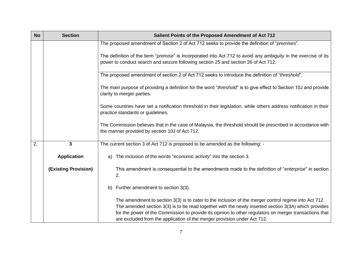| <b>No</b> | <b>Section</b>              | Salient Points of the Proposed Amendment of Act 712                                                                                                                                                                                                                                                                                                                                                 |
|-----------|-----------------------------|-----------------------------------------------------------------------------------------------------------------------------------------------------------------------------------------------------------------------------------------------------------------------------------------------------------------------------------------------------------------------------------------------------|
|           |                             | The proposed amendment of Section 2 of Act 712 seeks to provide the definition of "premises".                                                                                                                                                                                                                                                                                                       |
|           |                             | The definition of the term "premise" is incorporated into Act 712 to avoid any ambiguity in the exercise of its<br>power to conduct search and seizure following section 25 and section 26 of Act 712,                                                                                                                                                                                              |
|           |                             | The proposed amendment of section 2 of Act 712 seeks to introduce the definition of "threshold".                                                                                                                                                                                                                                                                                                    |
|           |                             | The main purpose of providing a definition for the word "threshold" is to give effect to Section 10J and provide<br>clarity to merger parties.                                                                                                                                                                                                                                                      |
|           |                             | Some countries have set a notification threshold in their legislation, while others address notification in their<br>practice standards or guidelines.                                                                                                                                                                                                                                              |
|           |                             | The Commission believes that in the case of Malaysia, the threshold should be prescribed in accordance with<br>the manner provided by section 10J of Act 712.                                                                                                                                                                                                                                       |
| 2.        | 3                           | The current section 3 of Act 712 is proposed to be amended as the following: -                                                                                                                                                                                                                                                                                                                      |
|           | <b>Application</b>          | The inclusion of the words "economic activity" into the section 3.<br>a)                                                                                                                                                                                                                                                                                                                            |
|           | <b>(Existing Provision)</b> | This amendment is consequential to the amendments made to the definition of "enterprise" in section<br>2.                                                                                                                                                                                                                                                                                           |
|           |                             | Further amendment to section 3(3).<br>b)                                                                                                                                                                                                                                                                                                                                                            |
|           |                             | The amendment to section 3(3) is to cater to the inclusion of the merger control regime into Act 712.<br>The amended section 3(3) is to be read together with the newly inserted section 3(3A) which provides<br>for the power of the Commission to provide its opinion to other regulators on merger transactions that<br>are excluded from the application of the merger provision under Act 712. |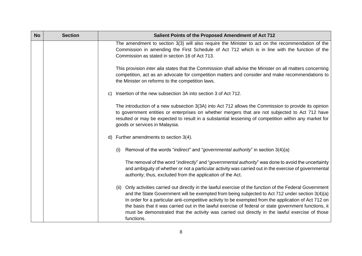| <b>No</b> | <b>Section</b> | Salient Points of the Proposed Amendment of Act 712                                                                                                                                                                                                                                                                                                                                                                                                                                                                                                 |
|-----------|----------------|-----------------------------------------------------------------------------------------------------------------------------------------------------------------------------------------------------------------------------------------------------------------------------------------------------------------------------------------------------------------------------------------------------------------------------------------------------------------------------------------------------------------------------------------------------|
|           |                | The amendment to section 3(3) will also require the Minister to act on the recommendation of the<br>Commission in amending the First Schedule of Act 712 which is in line with the function of the<br>Commission as stated in section 16 of Act 713.                                                                                                                                                                                                                                                                                                |
|           |                | This provision <i>inter alia</i> states that the Commission shall advise the Minister on all matters concerning<br>competition, act as an advocate for competition matters and consider and make recommendations to<br>the Minister on reforms to the competition laws.                                                                                                                                                                                                                                                                             |
|           |                | Insertion of the new subsection 3A into section 3 of Act 712.<br>C)                                                                                                                                                                                                                                                                                                                                                                                                                                                                                 |
|           |                | The introduction of a new subsection 3(3A) into Act 712 allows the Commission to provide its opinion<br>to government entities or enterprises on whether mergers that are not subjected to Act 712 have<br>resulted or may be expected to result in a substantial lessening of competition within any market for<br>goods or services in Malaysia.                                                                                                                                                                                                  |
|           |                | Further amendments to section 3(4).<br>d)                                                                                                                                                                                                                                                                                                                                                                                                                                                                                                           |
|           |                | Removal of the words "indirect" and "governmental authority" in section 3(4)(a)<br>(i)                                                                                                                                                                                                                                                                                                                                                                                                                                                              |
|           |                | The removal of the word "indirectly" and "governmental authority" was done to avoid the uncertainty<br>and ambiguity of whether or not a particular activity was carried out in the exercise of governmental<br>authority; thus, excluded from the application of the Act.                                                                                                                                                                                                                                                                          |
|           |                | Only activities carried out directly in the lawful exercise of the function of the Federal Government<br>(ii)<br>and the State Government will be exempted from being subjected to Act 712 under section 3(4)(a)<br>In order for a particular anti-competitive activity to be exempted from the application of Act 712 on<br>the basis that it was carried out in the lawful exercise of federal or state government functions, it<br>must be demonstrated that the activity was carried out directly in the lawful exercise of those<br>functions. |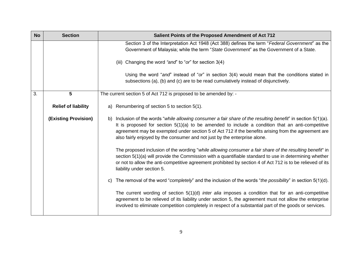| <b>No</b> | <b>Section</b>              | Salient Points of the Proposed Amendment of Act 712                                                                                                                                                                                                                                                                                                                                                        |
|-----------|-----------------------------|------------------------------------------------------------------------------------------------------------------------------------------------------------------------------------------------------------------------------------------------------------------------------------------------------------------------------------------------------------------------------------------------------------|
|           |                             | Section 3 of the Interpretation Act 1948 (Act 388) defines the term "Federal Government" as the<br>Government of Malaysia; while the term "State Government" as the Government of a State.                                                                                                                                                                                                                 |
|           |                             | (iii) Changing the word "and" to "or" for section 3(4)                                                                                                                                                                                                                                                                                                                                                     |
|           |                             | Using the word "and" instead of "or" in section 3(4) would mean that the conditions stated in<br>subsections (a), (b) and (c) are to be read cumulatively instead of disjunctively.                                                                                                                                                                                                                        |
| 3.        | 5                           | The current section 5 of Act 712 is proposed to be amended by: -                                                                                                                                                                                                                                                                                                                                           |
|           | <b>Relief of liability</b>  | Renumbering of section 5 to section 5(1).<br>a)                                                                                                                                                                                                                                                                                                                                                            |
|           | <b>(Existing Provision)</b> | Inclusion of the words "while allowing consumer a fair share of the resulting benefit" in section 5(1)(a).<br>b)<br>It is proposed for section $5(1)(a)$ to be amended to include a condition that an anti-competitive<br>agreement may be exempted under section 5 of Act 712 if the benefits arising from the agreement are<br>also fairly enjoyed by the consumer and not just by the enterprise alone. |
|           |                             | The proposed inclusion of the wording "while allowing consumer a fair share of the resulting benefit" in<br>section 5(1)(a) will provide the Commission with a quantifiable standard to use in determining whether<br>or not to allow the anti-competitive agreement prohibited by section 4 of Act 712 is to be relieved of its<br>liability under section 5.                                             |
|           |                             | The removal of the word "completely" and the inclusion of the words "the possibility" in section 5(1)(d).<br>$\mathsf{C}$                                                                                                                                                                                                                                                                                  |
|           |                             | The current wording of section $5(1)(d)$ inter alia imposes a condition that for an anti-competitive<br>agreement to be relieved of its liability under section 5, the agreement must not allow the enterprise<br>involved to eliminate competition completely in respect of a substantial part of the goods or services.                                                                                  |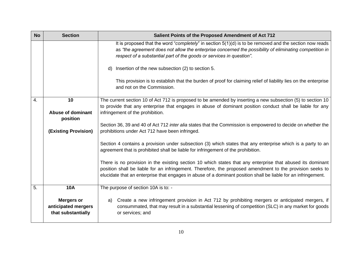| <b>No</b> | <b>Section</b>                                                 | Salient Points of the Proposed Amendment of Act 712                                                                                                                                                                                                                                                                                       |
|-----------|----------------------------------------------------------------|-------------------------------------------------------------------------------------------------------------------------------------------------------------------------------------------------------------------------------------------------------------------------------------------------------------------------------------------|
|           |                                                                | It is proposed that the word "completely" in section $5(1)(d)$ is to be removed and the section now reads<br>as "the agreement does not allow the enterprise concerned the possibility of eliminating competition in<br>respect of a substantial part of the goods or services in question".                                              |
|           |                                                                | Insertion of the new subsection (2) to section 5.<br>d)                                                                                                                                                                                                                                                                                   |
|           |                                                                | This provision is to establish that the burden of proof for claiming relief of liability lies on the enterprise<br>and not on the Commission.                                                                                                                                                                                             |
| 4.        | 10<br><b>Abuse of dominant</b>                                 | The current section 10 of Act 712 is proposed to be amended by inserting a new subsection (5) to section 10<br>to provide that any enterprise that engages in abuse of dominant position conduct shall be liable for any<br>infringement of the prohibition.                                                                              |
|           | position                                                       |                                                                                                                                                                                                                                                                                                                                           |
|           | (Existing Provision)                                           | Section 36, 39 and 40 of Act 712 inter alia states that the Commission is empowered to decide on whether the<br>prohibitions under Act 712 have been infringed.                                                                                                                                                                           |
|           |                                                                | Section 4 contains a provision under subsection (3) which states that any enterprise which is a party to an<br>agreement that is prohibited shall be liable for infringement of the prohibition.                                                                                                                                          |
|           |                                                                | There is no provision in the existing section 10 which states that any enterprise that abused its dominant<br>position shall be liable for an infringement. Therefore, the proposed amendment to the provision seeks to<br>elucidate that an enterprise that engages in abuse of a dominant position shall be liable for an infringement. |
| 5.        | <b>10A</b>                                                     | The purpose of section 10A is to: -                                                                                                                                                                                                                                                                                                       |
|           | <b>Mergers or</b><br>anticipated mergers<br>that substantially | Create a new infringement provision in Act 712 by prohibiting mergers or anticipated mergers, if<br>a)<br>consummated, that may result in a substantial lessening of competition (SLC) in any market for goods<br>or services; and                                                                                                        |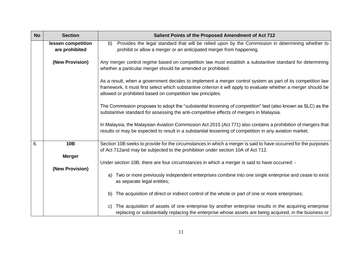| <b>No</b> | <b>Section</b>                       | Salient Points of the Proposed Amendment of Act 712                                                                                                                                                                                                                                          |
|-----------|--------------------------------------|----------------------------------------------------------------------------------------------------------------------------------------------------------------------------------------------------------------------------------------------------------------------------------------------|
|           | lessen competition<br>are prohibited | Provides the legal standard that will be relied upon by the Commission in determining whether to<br>b)<br>prohibit or allow a merger or an anticipated merger from happening.                                                                                                                |
|           | (New Provision)                      | Any merger control regime based on competition law must establish a substantive standard for determining<br>whether a particular merger should be amended or prohibited.                                                                                                                     |
|           |                                      | As a result, when a government decides to implement a merger control system as part of its competition law<br>framework, it must first select which substantive criterion it will apply to evaluate whether a merger should be<br>allowed or prohibited based on competition law principles. |
|           |                                      | The Commission proposes to adopt the "substantial lessening of competition" test (also known as SLC) as the<br>substantive standard for assessing the anti-competitive effects of mergers in Malaysia.                                                                                       |
|           |                                      | In Malaysia, the Malaysian Aviation Commission Act 2015 (Act 771) also contains a prohibition of mergers that<br>results or may be expected to result in a substantial lessening of competition in any aviation market.                                                                      |
| 6.        | 10B                                  | Section 10B seeks to provide for the circumstances in which a merger is said to have occurred for the purposes<br>of Act 712and may be subjected to the prohibition under section 10A of Act 712.                                                                                            |
|           | <b>Merger</b>                        | Under section 10B, there are four circumstances in which a merger is said to have occurred: -                                                                                                                                                                                                |
|           | (New Provision)                      | Two or more previously independent enterprises combine into one single enterprise and cease to exist<br>a)<br>as separate legal entities;                                                                                                                                                    |
|           |                                      | The acquisition of direct or indirect control of the whole or part of one or more enterprises;<br>b)                                                                                                                                                                                         |
|           |                                      | The acquisition of assets of one enterprise by another enterprise results in the acquiring enterprise<br>C)<br>replacing or substantially replacing the enterprise whose assets are being acquired, in the business or                                                                       |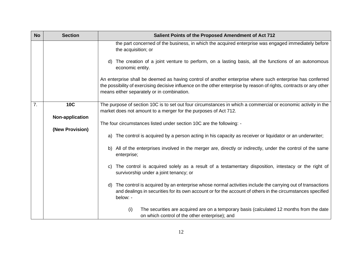| <b>No</b> | <b>Section</b>         | Salient Points of the Proposed Amendment of Act 712                                                                                                                                                                                                                             |
|-----------|------------------------|---------------------------------------------------------------------------------------------------------------------------------------------------------------------------------------------------------------------------------------------------------------------------------|
|           |                        | the part concerned of the business, in which the acquired enterprise was engaged immediately before<br>the acquisition; or                                                                                                                                                      |
|           |                        | The creation of a joint venture to perform, on a lasting basis, all the functions of an autonomous<br>d)<br>economic entity.                                                                                                                                                    |
|           |                        | An enterprise shall be deemed as having control of another enterprise where such enterprise has conferred<br>the possibility of exercising decisive influence on the other enterprise by reason of rights, contracts or any other<br>means either separately or in combination. |
| 7.        | <b>10C</b>             | The purpose of section 10C is to set out four circumstances in which a commercial or economic activity in the<br>market does not amount to a merger for the purposes of Act 712.                                                                                                |
|           | <b>Non-application</b> |                                                                                                                                                                                                                                                                                 |
|           | (New Provision)        | The four circumstances listed under section 10C are the following: -                                                                                                                                                                                                            |
|           |                        | The control is acquired by a person acting in his capacity as receiver or liquidator or an underwriter;<br>a)                                                                                                                                                                   |
|           |                        | b) All of the enterprises involved in the merger are, directly or indirectly, under the control of the same<br>enterprise;                                                                                                                                                      |
|           |                        | The control is acquired solely as a result of a testamentary disposition, intestacy or the right of<br>C)<br>survivorship under a joint tenancy; or                                                                                                                             |
|           |                        | The control is acquired by an enterprise whose normal activities include the carrying out of transactions<br>d)<br>and dealings in securities for its own account or for the account of others in the circumstances specified<br>below: -                                       |
|           |                        | (i)<br>The securities are acquired are on a temporary basis (calculated 12 months from the date<br>on which control of the other enterprise); and                                                                                                                               |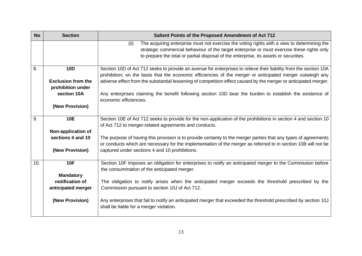|                 | Salient Points of the Proposed Amendment of Act 712                                                                                                                                                                                        |
|-----------------|--------------------------------------------------------------------------------------------------------------------------------------------------------------------------------------------------------------------------------------------|
|                 | The acquiring enterprise must not exercise the voting rights with a view to determining the<br>(ii)                                                                                                                                        |
|                 | strategic commercial behaviour of the target enterprise or must exercise these rights only                                                                                                                                                 |
|                 | to prepare the total or partial disposal of the enterprise, its assets or securities.                                                                                                                                                      |
|                 | Section 10D of Act 712 seeks to provide an avenue for enterprises to relieve their liability from the section 10A                                                                                                                          |
|                 | prohibition; on the basis that the economic efficiencies of the merger or anticipated merger outweigh any                                                                                                                                  |
|                 | adverse effect from the substantial lessening of competition effect caused by the merger or anticipated merger.                                                                                                                            |
|                 |                                                                                                                                                                                                                                            |
| section 10A     | Any enterprises claiming the benefit following section 10D bear the burden to establish the existence of                                                                                                                                   |
|                 | economic efficiencies.                                                                                                                                                                                                                     |
|                 |                                                                                                                                                                                                                                            |
|                 | Section 10E of Act 712 seeks to provide for the non-application of the prohibitions in section 4 and section 10                                                                                                                            |
|                 | of Act 712 to merger-related agreements and conducts.                                                                                                                                                                                      |
|                 |                                                                                                                                                                                                                                            |
|                 | The purpose of having this provision is to provide certainty to the merger parties that any types of agreements                                                                                                                            |
|                 | or conducts which are necessary for the implementation of the merger as referred to in section 10B will not be                                                                                                                             |
| (New Provision) | captured under sections 4 and 10 prohibitions.                                                                                                                                                                                             |
|                 |                                                                                                                                                                                                                                            |
| <b>10F</b>      | Section 10F imposes an obligation for enterprises to notify an anticipated merger to the Commission before                                                                                                                                 |
|                 | the consummation of the anticipated merger.                                                                                                                                                                                                |
|                 |                                                                                                                                                                                                                                            |
|                 | The obligation to notify arises when the anticipated merger exceeds the threshold prescribed by the                                                                                                                                        |
|                 | Commission pursuant to section 10J of Act 712.                                                                                                                                                                                             |
|                 | Any enterprises that fail to notify an anticipated merger that exceeded the threshold prescribed by section 10J                                                                                                                            |
|                 | shall be liable for a merger violation.                                                                                                                                                                                                    |
|                 | <b>Section</b><br><b>10D</b><br><b>Exclusion from the</b><br>prohibition under<br>(New Provision)<br><b>10E</b><br>Non-application of<br>sections 4 and 10<br><b>Mandatory</b><br>notification of<br>anticipated merger<br>(New Provision) |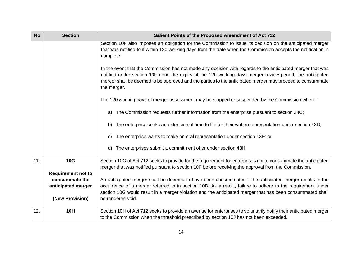| <b>No</b> | <b>Section</b>            | Salient Points of the Proposed Amendment of Act 712                                                                                                                                                                                                                                                                                                |
|-----------|---------------------------|----------------------------------------------------------------------------------------------------------------------------------------------------------------------------------------------------------------------------------------------------------------------------------------------------------------------------------------------------|
|           |                           | Section 10F also imposes an obligation for the Commission to issue its decision on the anticipated merger<br>that was notified to it within 120 working days from the date when the Commission accepts the notification is<br>complete.                                                                                                            |
|           |                           | In the event that the Commission has not made any decision with regards to the anticipated merger that was<br>notified under section 10F upon the expiry of the 120 working days merger review period, the anticipated<br>merger shall be deemed to be approved and the parties to the anticipated merger may proceed to consummate<br>the merger. |
|           |                           | The 120 working days of merger assessment may be stopped or suspended by the Commission when: -                                                                                                                                                                                                                                                    |
|           |                           | The Commission requests further information from the enterprise pursuant to section 34C;<br>a)                                                                                                                                                                                                                                                     |
|           |                           | The enterprise seeks an extension of time to file for their written representation under section 43D;<br>b)                                                                                                                                                                                                                                        |
|           |                           | The enterprise wants to make an oral representation under section 43E; or<br>C)                                                                                                                                                                                                                                                                    |
|           |                           | The enterprises submit a commitment offer under section 43H.<br>d)                                                                                                                                                                                                                                                                                 |
| 11.       | <b>10G</b>                | Section 10G of Act 712 seeks to provide for the requirement for enterprises not to consummate the anticipated<br>merger that was notified pursuant to section 10F before receiving the approval from the Commission.                                                                                                                               |
|           | <b>Requirement not to</b> |                                                                                                                                                                                                                                                                                                                                                    |
|           | consummate the            | An anticipated merger shall be deemed to have been consummated if the anticipated merger results in the                                                                                                                                                                                                                                            |
|           | anticipated merger        | occurrence of a merger referred to in section 10B. As a result, failure to adhere to the requirement under<br>section 10G would result in a merger violation and the anticipated merger that has been consummated shall                                                                                                                            |
|           | (New Provision)           | be rendered void.                                                                                                                                                                                                                                                                                                                                  |
| 12.       | <b>10H</b>                | Section 10H of Act 712 seeks to provide an avenue for enterprises to voluntarily notify their anticipated merger                                                                                                                                                                                                                                   |
|           |                           | to the Commission when the threshold prescribed by section 10J has not been exceeded.                                                                                                                                                                                                                                                              |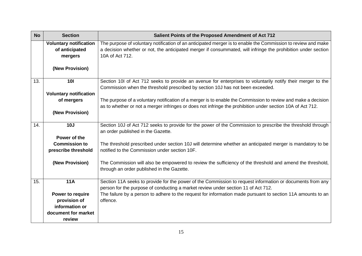| <b>No</b> | <b>Section</b>                | Salient Points of the Proposed Amendment of Act 712                                                           |
|-----------|-------------------------------|---------------------------------------------------------------------------------------------------------------|
|           | <b>Voluntary notification</b> | The purpose of voluntary notification of an anticipated merger is to enable the Commission to review and make |
|           | of anticipated                | a decision whether or not, the anticipated merger if consummated, will infringe the prohibition under section |
|           | mergers                       | 10A of Act 712.                                                                                               |
|           | (New Provision)               |                                                                                                               |
| 13.       | <b>101</b>                    | Section 10I of Act 712 seeks to provide an avenue for enterprises to voluntarily notify their merger to the   |
|           |                               | Commission when the threshold prescribed by section 10J has not been exceeded.                                |
|           | <b>Voluntary notification</b> |                                                                                                               |
|           | of mergers                    | The purpose of a voluntary notification of a merger is to enable the Commission to review and make a decision |
|           |                               | as to whether or not a merger infringes or does not infringe the prohibition under section 10A of Act 712.    |
|           | (New Provision)               |                                                                                                               |
| 14.       | 10J                           | Section 10J of Act 712 seeks to provide for the power of the Commission to prescribe the threshold through    |
|           |                               | an order published in the Gazette.                                                                            |
|           | Power of the                  |                                                                                                               |
|           | <b>Commission to</b>          | The threshold prescribed under section 10J will determine whether an anticipated merger is mandatory to be    |
|           | prescribe threshold           | notified to the Commission under section 10F.                                                                 |
|           |                               |                                                                                                               |
|           | (New Provision)               | The Commission will also be empowered to review the sufficiency of the threshold and amend the threshold,     |
|           |                               | through an order published in the Gazette.                                                                    |
| 15.       | <b>11A</b>                    | Section 11A seeks to provide for the power of the Commission to request information or documents from any     |
|           |                               | person for the purpose of conducting a market review under section 11 of Act 712.                             |
|           | Power to require              | The failure by a person to adhere to the request for information made pursuant to section 11A amounts to an   |
|           | provision of                  | offence.                                                                                                      |
|           | information or                |                                                                                                               |
|           | document for market           |                                                                                                               |
|           | review                        |                                                                                                               |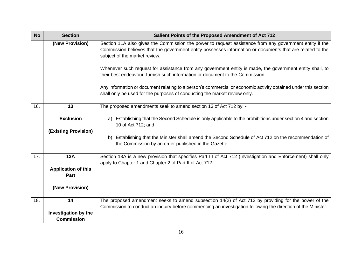| <b>No</b> | <b>Section</b>                     | Salient Points of the Proposed Amendment of Act 712                                                                                                                                                                                                                                                                                                                                                                                                |
|-----------|------------------------------------|----------------------------------------------------------------------------------------------------------------------------------------------------------------------------------------------------------------------------------------------------------------------------------------------------------------------------------------------------------------------------------------------------------------------------------------------------|
|           | (New Provision)                    | Section 11A also gives the Commission the power to request assistance from any government entity if the<br>Commission believes that the government entity possesses information or documents that are related to the<br>subject of the market review.<br>Whenever such request for assistance from any government entity is made, the government entity shall, to<br>their best endeavour, furnish such information or document to the Commission. |
|           |                                    | Any information or document relating to a person's commercial or economic activity obtained under this section<br>shall only be used for the purposes of conducting the market review only.                                                                                                                                                                                                                                                        |
| 16.       | 13                                 | The proposed amendments seek to amend section 13 of Act 712 by: -                                                                                                                                                                                                                                                                                                                                                                                  |
|           | <b>Exclusion</b>                   | a) Establishing that the Second Schedule is only applicable to the prohibitions under section 4 and section<br>10 of Act 712; and                                                                                                                                                                                                                                                                                                                  |
|           | <b>(Existing Provision)</b>        |                                                                                                                                                                                                                                                                                                                                                                                                                                                    |
|           |                                    | b) Establishing that the Minister shall amend the Second Schedule of Act 712 on the recommendation of<br>the Commission by an order published in the Gazette.                                                                                                                                                                                                                                                                                      |
| 17.       | <b>13A</b>                         | Section 13A is a new provision that specifies Part III of Act 712 (Investigation and Enforcement) shall only<br>apply to Chapter 1 and Chapter 2 of Part II of Act 712.                                                                                                                                                                                                                                                                            |
|           | <b>Application of this</b><br>Part |                                                                                                                                                                                                                                                                                                                                                                                                                                                    |
|           | (New Provision)                    |                                                                                                                                                                                                                                                                                                                                                                                                                                                    |
| 18.       | 14                                 | The proposed amendment seeks to amend subsection 14(2) of Act 712 by providing for the power of the<br>Commission to conduct an inquiry before commencing an investigation following the direction of the Minister.                                                                                                                                                                                                                                |
|           | Investigation by the               |                                                                                                                                                                                                                                                                                                                                                                                                                                                    |
|           | <b>Commission</b>                  |                                                                                                                                                                                                                                                                                                                                                                                                                                                    |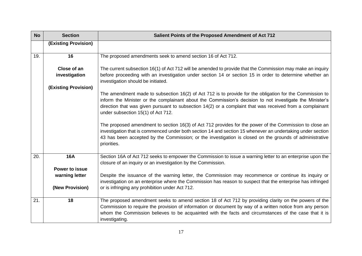| <b>No</b> | <b>Section</b>                      | Salient Points of the Proposed Amendment of Act 712                                                                                                                                                                                                                                                                                                                                                                                                                                                                                                                                                                                                                                                                          |
|-----------|-------------------------------------|------------------------------------------------------------------------------------------------------------------------------------------------------------------------------------------------------------------------------------------------------------------------------------------------------------------------------------------------------------------------------------------------------------------------------------------------------------------------------------------------------------------------------------------------------------------------------------------------------------------------------------------------------------------------------------------------------------------------------|
|           | (Existing Provision)                |                                                                                                                                                                                                                                                                                                                                                                                                                                                                                                                                                                                                                                                                                                                              |
| 19.       | 16                                  | The proposed amendments seek to amend section 16 of Act 712.                                                                                                                                                                                                                                                                                                                                                                                                                                                                                                                                                                                                                                                                 |
|           | Close of an<br>investigation        | The current subsection 16(1) of Act 712 will be amended to provide that the Commission may make an inquiry<br>before proceeding with an investigation under section 14 or section 15 in order to determine whether an<br>investigation should be initiated.                                                                                                                                                                                                                                                                                                                                                                                                                                                                  |
|           | <b>(Existing Provision)</b>         | The amendment made to subsection $16(2)$ of Act 712 is to provide for the obligation for the Commission to<br>inform the Minister or the complainant about the Commission's decision to not investigate the Minister's<br>direction that was given pursuant to subsection 14(2) or a complaint that was received from a complainant<br>under subsection 15(1) of Act 712.<br>The proposed amendment to section 16(3) of Act 712 provides for the power of the Commission to close an<br>investigation that is commenced under both section 14 and section 15 whenever an undertaking under section<br>43 has been accepted by the Commission; or the investigation is closed on the grounds of administrative<br>priorities. |
| 20.       | <b>16A</b><br><b>Power to issue</b> | Section 16A of Act 712 seeks to empower the Commission to issue a warning letter to an enterprise upon the<br>closure of an inquiry or an investigation by the Commission.                                                                                                                                                                                                                                                                                                                                                                                                                                                                                                                                                   |
|           | warning letter<br>(New Provision)   | Despite the issuance of the warning letter, the Commission may recommence or continue its inquiry or<br>investigation on an enterprise where the Commission has reason to suspect that the enterprise has infringed<br>or is infringing any prohibition under Act 712.                                                                                                                                                                                                                                                                                                                                                                                                                                                       |
|           |                                     |                                                                                                                                                                                                                                                                                                                                                                                                                                                                                                                                                                                                                                                                                                                              |
| 21.       | 18                                  | The proposed amendment seeks to amend section 18 of Act 712 by providing clarity on the powers of the<br>Commission to require the provision of information or document by way of a written notice from any person<br>whom the Commission believes to be acquainted with the facts and circumstances of the case that it is<br>investigating.                                                                                                                                                                                                                                                                                                                                                                                |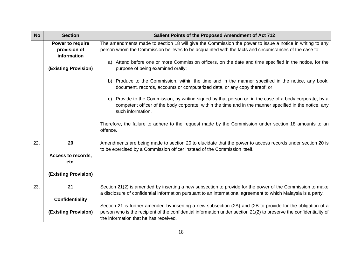| <b>No</b> | <b>Section</b>                                  | Salient Points of the Proposed Amendment of Act 712                                                                                                                                                                                         |
|-----------|-------------------------------------------------|---------------------------------------------------------------------------------------------------------------------------------------------------------------------------------------------------------------------------------------------|
|           | Power to require<br>provision of<br>information | The amendments made to section 18 will give the Commission the power to issue a notice in writing to any<br>person whom the Commission believes to be acquainted with the facts and circumstances of the case to: -                         |
|           | <b>(Existing Provision)</b>                     | a) Attend before one or more Commission officers, on the date and time specified in the notice, for the<br>purpose of being examined orally;                                                                                                |
|           |                                                 | Produce to the Commission, within the time and in the manner specified in the notice, any book,<br>b)<br>document, records, accounts or computerized data, or any copy thereof; or                                                          |
|           |                                                 | Provide to the Commission, by writing signed by that person or, in the case of a body corporate, by a<br>C)<br>competent officer of the body corporate, within the time and in the manner specified in the notice, any<br>such information. |
|           |                                                 | Therefore, the failure to adhere to the request made by the Commission under section 18 amounts to an<br>offence.                                                                                                                           |
| 22.       | 20                                              | Amendments are being made to section 20 to elucidate that the power to access records under section 20 is<br>to be exercised by a Commission officer instead of the Commission itself.                                                      |
|           | Access to records,                              |                                                                                                                                                                                                                                             |
|           | etc.                                            |                                                                                                                                                                                                                                             |
|           | <b>(Existing Provision)</b>                     |                                                                                                                                                                                                                                             |
| 23.       | 21                                              | Section 21(2) is amended by inserting a new subsection to provide for the power of the Commission to make                                                                                                                                   |
|           |                                                 | a disclosure of confidential information pursuant to an international agreement to which Malaysia is a party.                                                                                                                               |
|           | <b>Confidentiality</b>                          | Section 21 is further amended by inserting a new subsection (2A) and (2B to provide for the obligation of a                                                                                                                                 |
|           | <b>(Existing Provision)</b>                     | person who is the recipient of the confidential information under section 21(2) to preserve the confidentiality of<br>the information that he has received.                                                                                 |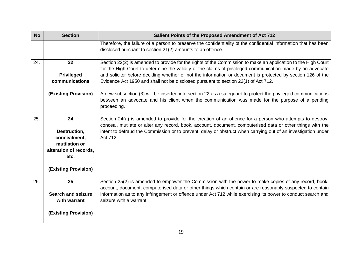| <b>No</b> | <b>Section</b>                          | Salient Points of the Proposed Amendment of Act 712                                                                                                                                                                             |
|-----------|-----------------------------------------|---------------------------------------------------------------------------------------------------------------------------------------------------------------------------------------------------------------------------------|
|           |                                         | Therefore, the failure of a person to preserve the confidentiality of the confidential information that has been<br>disclosed pursuant to section 21(2) amounts to an offence.                                                  |
| 24.       | 22                                      | Section 22(2) is amended to provide for the rights of the Commission to make an application to the High Court<br>for the High Court to determine the validity of the claims of privileged communication made by an advocate     |
|           | <b>Privileged</b>                       | and solicitor before deciding whether or not the information or document is protected by section 126 of the                                                                                                                     |
|           | communications                          | Evidence Act 1950 and shall not be disclosed pursuant to section 22(1) of Act 712.                                                                                                                                              |
|           | (Existing Provision)                    | A new subsection (3) will be inserted into section 22 as a safeguard to protect the privileged communications<br>between an advocate and his client when the communication was made for the purpose of a pending<br>proceeding. |
| 25.       | 24                                      | Section 24(a) is amended to provide for the creation of an offence for a person who attempts to destroy,<br>conceal, mutilate or alter any record, book, account, document, computerised data or other things with the          |
|           | Destruction,<br>concealment,            | intent to defraud the Commission or to prevent, delay or obstruct when carrying out of an investigation under<br>Act 712.                                                                                                       |
|           | mutilation or<br>alteration of records, |                                                                                                                                                                                                                                 |
|           | etc.                                    |                                                                                                                                                                                                                                 |
|           | (Existing Provision)                    |                                                                                                                                                                                                                                 |
| 26.       | 25                                      | Section 25(2) is amended to empower the Commission with the power to make copies of any record, book,<br>account, document, computerised data or other things which contain or are reasonably suspected to contain              |
|           | <b>Search and seizure</b>               | information as to any infringement or offence under Act 712 while exercising its power to conduct search and                                                                                                                    |
|           | with warrant                            | seizure with a warrant.                                                                                                                                                                                                         |
|           | <b>(Existing Provision)</b>             |                                                                                                                                                                                                                                 |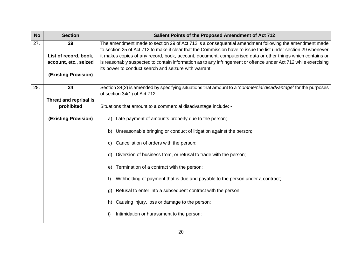| <b>No</b> | <b>Section</b>              | Salient Points of the Proposed Amendment of Act 712                                                                                                                                                                     |
|-----------|-----------------------------|-------------------------------------------------------------------------------------------------------------------------------------------------------------------------------------------------------------------------|
| 27.       | 29                          | The amendment made to section 29 of Act 712 is a consequential amendment following the amendment made<br>to section 25 of Act 712 to make it clear that the Commission have to issue the list under section 29 whenever |
|           | List of record, book,       | it makes copies of any record, book, account, document, computerised data or other things which contains or                                                                                                             |
|           | account, etc., seized       | is reasonably suspected to contain information as to any infringement or offence under Act 712 while exercising<br>its power to conduct search and seizure with warrant                                                 |
|           | (Existing Provision)        |                                                                                                                                                                                                                         |
| 28.       | 34                          | Section 34(2) is amended by specifying situations that amount to a "commercial disadvantage" for the purposes                                                                                                           |
|           |                             | of section 34(1) of Act 712.                                                                                                                                                                                            |
|           | Threat and reprisal is      |                                                                                                                                                                                                                         |
|           | prohibited                  | Situations that amount to a commercial disadvantage include: -                                                                                                                                                          |
|           | <b>(Existing Provision)</b> | Late payment of amounts properly due to the person;<br>a)                                                                                                                                                               |
|           |                             | Unreasonable bringing or conduct of litigation against the person;<br>b)                                                                                                                                                |
|           |                             | Cancellation of orders with the person;<br>C)                                                                                                                                                                           |
|           |                             | Diversion of business from, or refusal to trade with the person;<br>d)                                                                                                                                                  |
|           |                             | Termination of a contract with the person;<br>e)                                                                                                                                                                        |
|           |                             | Withholding of payment that is due and payable to the person under a contract;<br>f)                                                                                                                                    |
|           |                             | Refusal to enter into a subsequent contract with the person;<br>g)                                                                                                                                                      |
|           |                             | Causing injury, loss or damage to the person;<br>h)                                                                                                                                                                     |
|           |                             | Intimidation or harassment to the person;<br>i)                                                                                                                                                                         |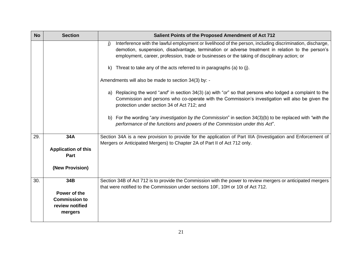| <b>No</b> | <b>Section</b>                                     | Salient Points of the Proposed Amendment of Act 712                                                                                                                                                                                                                                                                 |
|-----------|----------------------------------------------------|---------------------------------------------------------------------------------------------------------------------------------------------------------------------------------------------------------------------------------------------------------------------------------------------------------------------|
|           |                                                    | Interference with the lawful employment or livelihood of the person, including discrimination, discharge,<br>i)<br>demotion, suspension, disadvantage, termination or adverse treatment in relation to the person's<br>employment, career, profession, trade or businesses or the taking of disciplinary action; or |
|           |                                                    | Threat to take any of the acts referred to in paragraphs (a) to (j).<br>k)                                                                                                                                                                                                                                          |
|           |                                                    | Amendments will also be made to section 34(3) by: -                                                                                                                                                                                                                                                                 |
|           |                                                    | a) Replacing the word "and" in section 34(3) (a) with "or" so that persons who lodged a complaint to the<br>Commission and persons who co-operate with the Commission's investigation will also be given the<br>protection under section 34 of Act 712; and                                                         |
|           |                                                    | b) For the wording "any investigation by the Commission" in section $34(3)(b)$ to be replaced with "with the<br>performance of the functions and powers of the Commission under this Act".                                                                                                                          |
| 29.       | 34A                                                | Section 34A is a new provision to provide for the application of Part IIIA (Investigation and Enforcement of<br>Mergers or Anticipated Mergers) to Chapter 2A of Part II of Act 712 only.                                                                                                                           |
|           | <b>Application of this</b><br>Part                 |                                                                                                                                                                                                                                                                                                                     |
|           | (New Provision)                                    |                                                                                                                                                                                                                                                                                                                     |
| 30.       | 34B                                                | Section 34B of Act 712 is to provide the Commission with the power to review mergers or anticipated mergers<br>that were notified to the Commission under sections 10F, 10H or 10I of Act 712.                                                                                                                      |
|           | Power of the                                       |                                                                                                                                                                                                                                                                                                                     |
|           | <b>Commission to</b><br>review notified<br>mergers |                                                                                                                                                                                                                                                                                                                     |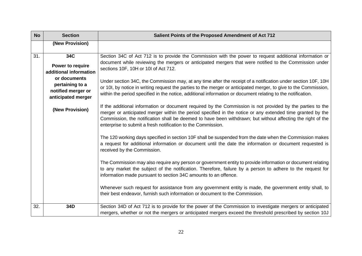| <b>No</b> | <b>Section</b>                                                              | Salient Points of the Proposed Amendment of Act 712                                                                                                                                                                                                                                                                                                                                                     |
|-----------|-----------------------------------------------------------------------------|---------------------------------------------------------------------------------------------------------------------------------------------------------------------------------------------------------------------------------------------------------------------------------------------------------------------------------------------------------------------------------------------------------|
|           | (New Provision)                                                             |                                                                                                                                                                                                                                                                                                                                                                                                         |
| 31.       | 34C<br>Power to require<br>additional information                           | Section 34C of Act 712 is to provide the Commission with the power to request additional information or<br>document while reviewing the mergers or anticipated mergers that were notified to the Commission under<br>sections 10F, 10H or 10I of Act 712.                                                                                                                                               |
|           | or documents<br>pertaining to a<br>notified merger or<br>anticipated merger | Under section 34C, the Commission may, at any time after the receipt of a notification under section 10F, 10H<br>or 10I, by notice in writing request the parties to the merger or anticipated merger, to give to the Commission,<br>within the period specified in the notice, additional information or document relating to the notification.                                                        |
|           | (New Provision)                                                             | If the additional information or document required by the Commission is not provided by the parties to the<br>merger or anticipated merger within the period specified in the notice or any extended time granted by the<br>Commission, the notification shall be deemed to have been withdrawn; but without affecting the right of the<br>enterprise to submit a fresh notification to the Commission. |
|           |                                                                             | The 120 working days specified in section 10F shall be suspended from the date when the Commission makes<br>a request for additional information or document until the date the information or document requested is<br>received by the Commission.                                                                                                                                                     |
|           |                                                                             | The Commission may also require any person or government entity to provide information or document relating<br>to any market the subject of the notification. Therefore, failure by a person to adhere to the request for<br>information made pursuant to section 34C amounts to an offence.                                                                                                            |
|           |                                                                             | Whenever such request for assistance from any government entity is made, the government entity shall, to<br>their best endeavor, furnish such information or document to the Commission.                                                                                                                                                                                                                |
| 32.       | 34D                                                                         | Section 34D of Act 712 is to provide for the power of the Commission to investigate mergers or anticipated<br>mergers, whether or not the mergers or anticipated mergers exceed the threshold prescribed by section 10J                                                                                                                                                                                 |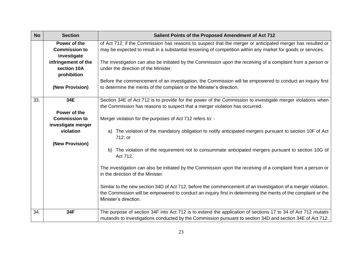| <b>No</b> | <b>Section</b>                                      | Salient Points of the Proposed Amendment of Act 712                                                                                                                                                                                                      |
|-----------|-----------------------------------------------------|----------------------------------------------------------------------------------------------------------------------------------------------------------------------------------------------------------------------------------------------------------|
|           | Power of the<br><b>Commission to</b><br>investigate | of Act 712; if the Commission has reasons to suspect that the merger or anticipated merger has resulted or<br>may be expected to result in a substantial lessening of competition within any market for goods or services.                               |
|           | infringement of the<br>section 10A<br>prohibition   | The investigation can also be initiated by the Commission upon the receiving of a complaint from a person or<br>under the direction of the Minister.                                                                                                     |
|           | (New Provision)                                     | Before the commencement of an investigation, the Commission will be empowered to conduct an inquiry first<br>to determine the merits of the complaint or the Minister's direction.                                                                       |
| 33.       | 34E<br>Power of the                                 | Section 34E of Act 712 is to provide for the power of the Commission to investigate merger violations when<br>the Commission has reasons to suspect that a merger violation has occurred.                                                                |
|           | <b>Commission to</b><br>investigate merger          | Merger violation for the purposes of Act 712 refers to: -                                                                                                                                                                                                |
|           | violation                                           | The violation of the mandatory obligation to notify anticipated mergers pursuant to section 10F of Act<br>a)<br>712; or                                                                                                                                  |
|           | (New Provision)                                     | b) The violation of the requirement not to consummate anticipated mergers pursuant to section 10G of<br>Act 712.                                                                                                                                         |
|           |                                                     | The investigation can also be initiated by the Commission upon the receiving of a complaint from a person or<br>in the direction of the Minister.                                                                                                        |
|           |                                                     | Similar to the new section 34D of Act 712, before the commencement of an investigation of a merger violation,<br>the Commission will be empowered to conduct an inquiry first in determining the merits of the complaint or the<br>Minister's direction. |
| 34.       | 34F                                                 | The purpose of section 34F into Act 712 is to extend the application of sections 17 to 34 of Act 712 mutatis<br>mutandis to investigations conducted by the Commission pursuant to section 34D and section 34E of Act 712.                               |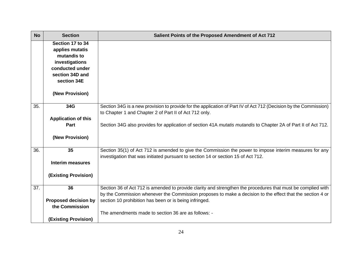| <b>No</b> | <b>Section</b>                                                                                                            | Salient Points of the Proposed Amendment of Act 712                                                                                                                                                                       |
|-----------|---------------------------------------------------------------------------------------------------------------------------|---------------------------------------------------------------------------------------------------------------------------------------------------------------------------------------------------------------------------|
|           | Section 17 to 34<br>applies mutatis<br>mutandis to<br>investigations<br>conducted under<br>section 34D and<br>section 34E |                                                                                                                                                                                                                           |
|           | (New Provision)                                                                                                           |                                                                                                                                                                                                                           |
| 35.       | 34G<br><b>Application of this</b>                                                                                         | Section 34G is a new provision to provide for the application of Part IV of Act 712 (Decision by the Commission)<br>to Chapter 1 and Chapter 2 of Part II of Act 712 only.                                                |
|           | Part                                                                                                                      | Section 34G also provides for application of section 41A mutatis mutandis to Chapter 2A of Part II of Act 712.                                                                                                            |
|           | (New Provision)                                                                                                           |                                                                                                                                                                                                                           |
| 36.       | 35                                                                                                                        | Section 35(1) of Act 712 is amended to give the Commission the power to impose interim measures for any<br>investigation that was initiated pursuant to section 14 or section 15 of Act 712.                              |
|           | <b>Interim measures</b>                                                                                                   |                                                                                                                                                                                                                           |
|           | (Existing Provision)                                                                                                      |                                                                                                                                                                                                                           |
| 37.       | 36                                                                                                                        | Section 36 of Act 712 is amended to provide clarity and strengthen the procedures that must be complied with<br>by the Commission whenever the Commission proposes to make a decision to the effect that the section 4 or |
|           | <b>Proposed decision by</b><br>the Commission                                                                             | section 10 prohibition has been or is being infringed.                                                                                                                                                                    |
|           | (Existing Provision)                                                                                                      | The amendments made to section 36 are as follows: -                                                                                                                                                                       |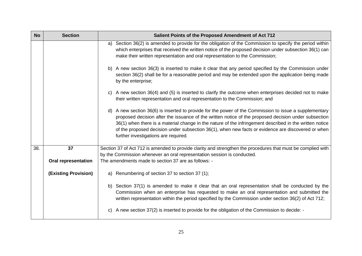| <b>No</b> | <b>Section</b>              | Salient Points of the Proposed Amendment of Act 712                                                                                                                                                                                                                                                                                                                                                                                                                     |
|-----------|-----------------------------|-------------------------------------------------------------------------------------------------------------------------------------------------------------------------------------------------------------------------------------------------------------------------------------------------------------------------------------------------------------------------------------------------------------------------------------------------------------------------|
|           |                             | a) Section 36(2) is amended to provide for the obligation of the Commission to specify the period within<br>which enterprises that received the written notice of the proposed decision under subsection 36(1) can<br>make their written representation and oral representation to the Commission;                                                                                                                                                                      |
|           |                             | b) A new section 36(3) is inserted to make it clear that any period specified by the Commission under<br>section 36(2) shall be for a reasonable period and may be extended upon the application being made<br>by the enterprise;                                                                                                                                                                                                                                       |
|           |                             | c) A new section 36(4) and (5) is inserted to clarify the outcome when enterprises decided not to make<br>their written representation and oral representation to the Commission; and                                                                                                                                                                                                                                                                                   |
|           |                             | d) A new section 36(6) is inserted to provide for the power of the Commission to issue a supplementary<br>proposed decision after the issuance of the written notice of the proposed decision under subsection<br>36(1) when there is a material change in the nature of the infringement described in the written notice<br>of the proposed decision under subsection 36(1), when new facts or evidence are discovered or when<br>further investigations are required. |
| 38.       | 37                          | Section 37 of Act 712 is amended to provide clarity and strengthen the procedures that must be complied with<br>by the Commission whenever an oral representation session is conducted.                                                                                                                                                                                                                                                                                 |
|           | <b>Oral representation</b>  | The amendments made to section 37 are as follows: -                                                                                                                                                                                                                                                                                                                                                                                                                     |
|           | <b>(Existing Provision)</b> | Renumbering of section 37 to section 37 (1);<br>a)                                                                                                                                                                                                                                                                                                                                                                                                                      |
|           |                             | b) Section 37(1) is amended to make it clear that an oral representation shall be conducted by the<br>Commission when an enterprise has requested to make an oral representation and submitted the<br>written representation within the period specified by the Commission under section 36(2) of Act 712;                                                                                                                                                              |
|           |                             | A new section 37(2) is inserted to provide for the obligation of the Commission to decide: -<br>C)                                                                                                                                                                                                                                                                                                                                                                      |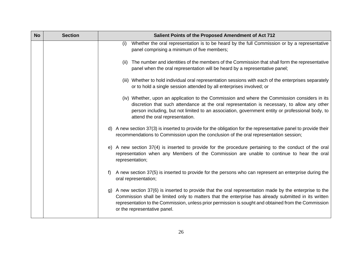| <b>No</b> | <b>Section</b> | Salient Points of the Proposed Amendment of Act 712                                                                                                                                                                                                                                                                                                      |
|-----------|----------------|----------------------------------------------------------------------------------------------------------------------------------------------------------------------------------------------------------------------------------------------------------------------------------------------------------------------------------------------------------|
|           |                | Whether the oral representation is to be heard by the full Commission or by a representative<br>(i)<br>panel comprising a minimum of five members;                                                                                                                                                                                                       |
|           |                | The number and identities of the members of the Commission that shall form the representative<br>(ii)<br>panel when the oral representation will be heard by a representative panel;                                                                                                                                                                     |
|           |                | (iii) Whether to hold individual oral representation sessions with each of the enterprises separately<br>or to hold a single session attended by all enterprises involved; or                                                                                                                                                                            |
|           |                | (iv) Whether, upon an application to the Commission and where the Commission considers in its<br>discretion that such attendance at the oral representation is necessary, to allow any other<br>person including, but not limited to an association, government entity or professional body, to<br>attend the oral representation.                       |
|           |                | d) A new section 37(3) is inserted to provide for the obligation for the representative panel to provide their<br>recommendations to Commission upon the conclusion of the oral representation session;                                                                                                                                                  |
|           |                | e) A new section 37(4) is inserted to provide for the procedure pertaining to the conduct of the oral<br>representation when any Members of the Commission are unable to continue to hear the oral<br>representation;                                                                                                                                    |
|           |                | A new section 37(5) is inserted to provide for the persons who can represent an enterprise during the<br>f)<br>oral representation;                                                                                                                                                                                                                      |
|           |                | g) A new section 37(6) is inserted to provide that the oral representation made by the enterprise to the<br>Commission shall be limited only to matters that the enterprise has already submitted in its written<br>representation to the Commission, unless prior permission is sought and obtained from the Commission<br>or the representative panel. |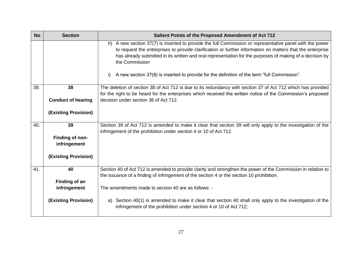| <b>No</b> | <b>Section</b>                  | Salient Points of the Proposed Amendment of Act 712                                                                                                                                                                                                                                                                                                 |
|-----------|---------------------------------|-----------------------------------------------------------------------------------------------------------------------------------------------------------------------------------------------------------------------------------------------------------------------------------------------------------------------------------------------------|
|           |                                 | h) A new section 37(7) is inserted to provide the full Commission or representative panel with the power<br>to request the enterprises to provide clarification or further information on matters that the enterprise<br>has already submitted in its written and oral representation for the purposes of making of a decision by<br>the Commission |
|           |                                 | A new section 37(8) is inserted to provide for the definition of the term "full Commission".<br>i)                                                                                                                                                                                                                                                  |
| 39.       | 38                              | The deletion of section 38 of Act 712 is due to its redundancy with section 37 of Act 712 which has provided<br>for the right to be heard for the enterprises which received the written notice of the Commission's proposed                                                                                                                        |
|           | <b>Conduct of hearing</b>       | decision under section 36 of Act 712.                                                                                                                                                                                                                                                                                                               |
|           | <b>(Existing Provision)</b>     |                                                                                                                                                                                                                                                                                                                                                     |
| 40.       | 39                              | Section 39 of Act 712 is amended to make it clear that section 39 will only apply to the investigation of the<br>infringement of the prohibition under section 4 or 10 of Act 712.                                                                                                                                                                  |
|           | Finding of non-<br>infringement |                                                                                                                                                                                                                                                                                                                                                     |
|           | <b>(Existing Provision)</b>     |                                                                                                                                                                                                                                                                                                                                                     |
| 41.       | 40                              | Section 40 of Act 712 is amended to provide clarity and strengthen the power of the Commission in relation to<br>the issuance of a finding of infringement of the section 4 or the section 10 prohibition.                                                                                                                                          |
|           | Finding of an                   |                                                                                                                                                                                                                                                                                                                                                     |
|           | infringement                    | The amendments made to section 40 are as follows: -                                                                                                                                                                                                                                                                                                 |
|           | <b>(Existing Provision)</b>     | Section 40(1) is amended to make it clear that section 40 shall only apply to the investigation of the<br>a)<br>infringement of the prohibition under section 4 or 10 of Act 712;                                                                                                                                                                   |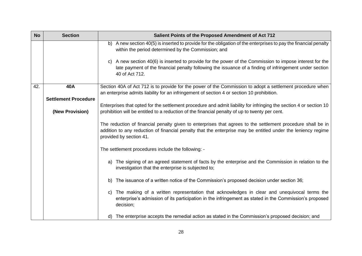| <b>No</b> | <b>Section</b>              | Salient Points of the Proposed Amendment of Act 712                                                                                                                                                                                                    |
|-----------|-----------------------------|--------------------------------------------------------------------------------------------------------------------------------------------------------------------------------------------------------------------------------------------------------|
|           |                             | b) A new section 40(5) is inserted to provide for the obligation of the enterprises to pay the financial penalty<br>within the period determined by the Commission; and                                                                                |
|           |                             | c) A new section 40(6) is inserted to provide for the power of the Commission to impose interest for the<br>late payment of the financial penalty following the issuance of a finding of infringement under section<br>40 of Act 712.                  |
| 42.       | 40A                         | Section 40A of Act 712 is to provide for the power of the Commission to adopt a settlement procedure when                                                                                                                                              |
|           | <b>Settlement Procedure</b> | an enterprise admits liability for an infringement of section 4 or section 10 prohibition.                                                                                                                                                             |
|           |                             | Enterprises that opted for the settlement procedure and admit liability for infringing the section 4 or section 10                                                                                                                                     |
|           | (New Provision)             | prohibition will be entitled to a reduction of the financial penalty of up to twenty per cent.                                                                                                                                                         |
|           |                             | The reduction of financial penalty given to enterprises that agrees to the settlement procedure shall be in<br>addition to any reduction of financial penalty that the enterprise may be entitled under the leniency regime<br>provided by section 41. |
|           |                             | The settlement procedures include the following: -                                                                                                                                                                                                     |
|           |                             | a) The signing of an agreed statement of facts by the enterprise and the Commission in relation to the<br>investigation that the enterprise is subjected to;                                                                                           |
|           |                             | The issuance of a written notice of the Commission's proposed decision under section 36;<br>b)                                                                                                                                                         |
|           |                             | The making of a written representation that acknowledges in clear and unequivocal terms the<br>C)<br>enterprise's admission of its participation in the infringement as stated in the Commission's proposed<br>decision;                               |
|           |                             | The enterprise accepts the remedial action as stated in the Commission's proposed decision; and<br>d)                                                                                                                                                  |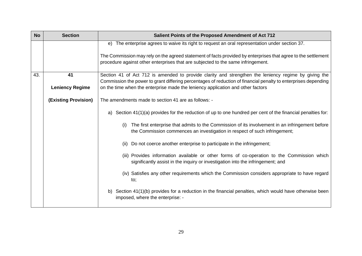| <b>No</b> | <b>Section</b>         | Salient Points of the Proposed Amendment of Act 712                                                                                                                                               |
|-----------|------------------------|---------------------------------------------------------------------------------------------------------------------------------------------------------------------------------------------------|
|           |                        | e) The enterprise agrees to waive its right to request an oral representation under section 37.                                                                                                   |
|           |                        | The Commission may rely on the agreed statement of facts provided by enterprises that agree to the settlement<br>procedure against other enterprises that are subjected to the same infringement. |
| 43.       | 41                     | Section 41 of Act 712 is amended to provide clarity and strengthen the leniency regime by giving the                                                                                              |
|           | <b>Leniency Regime</b> | Commission the power to grant differing percentages of reduction of financial penalty to enterprises depending<br>on the time when the enterprise made the leniency application and other factors |
|           | (Existing Provision)   | The amendments made to section 41 are as follows: -                                                                                                                                               |
|           |                        | Section 41(1)(a) provides for the reduction of up to one hundred per cent of the financial penalties for:<br>a)                                                                                   |
|           |                        | The first enterprise that admits to the Commission of its involvement in an infringement before<br>(i)<br>the Commission commences an investigation in respect of such infringement;              |
|           |                        | Do not coerce another enterprise to participate in the infringement;<br>(ii)                                                                                                                      |
|           |                        | (iii) Provides information available or other forms of co-operation to the Commission which<br>significantly assist in the inquiry or investigation into the infringement; and                    |
|           |                        | (iv) Satisfies any other requirements which the Commission considers appropriate to have regard<br>to;                                                                                            |
|           |                        | b) Section 41(1)(b) provides for a reduction in the financial penalties, which would have otherwise been<br>imposed, where the enterprise: -                                                      |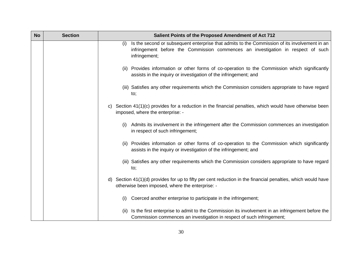| <b>No</b> | <b>Section</b> | Salient Points of the Proposed Amendment of Act 712                                                                                                                                                       |
|-----------|----------------|-----------------------------------------------------------------------------------------------------------------------------------------------------------------------------------------------------------|
|           |                | Is the second or subsequent enterprise that admits to the Commission of its involvement in an<br>(i)<br>infringement before the Commission commences an investigation in respect of such<br>infringement; |
|           |                | (ii) Provides information or other forms of co-operation to the Commission which significantly<br>assists in the inquiry or investigation of the infringement; and                                        |
|           |                | (iii) Satisfies any other requirements which the Commission considers appropriate to have regard<br>to;                                                                                                   |
|           |                | c) Section 41(1)(c) provides for a reduction in the financial penalties, which would have otherwise been<br>imposed, where the enterprise: -                                                              |
|           |                | Admits its involvement in the infringement after the Commission commences an investigation<br>(i)<br>in respect of such infringement;                                                                     |
|           |                | (ii) Provides information or other forms of co-operation to the Commission which significantly<br>assists in the inquiry or investigation of the infringement; and                                        |
|           |                | (iii) Satisfies any other requirements which the Commission considers appropriate to have regard<br>to;                                                                                                   |
|           |                | d) Section 41(1)(d) provides for up to fifty per cent reduction in the financial penalties, which would have<br>otherwise been imposed, where the enterprise: -                                           |
|           |                | Coerced another enterprise to participate in the infringement;<br>(i)                                                                                                                                     |
|           |                | Is the first enterprise to admit to the Commission its involvement in an infringement before the<br>(ii)<br>Commission commences an investigation in respect of such infringement;                        |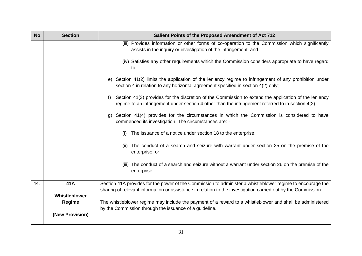| <b>No</b> | <b>Section</b>  | Salient Points of the Proposed Amendment of Act 712                                                                                                                                                              |
|-----------|-----------------|------------------------------------------------------------------------------------------------------------------------------------------------------------------------------------------------------------------|
|           |                 | (iii) Provides information or other forms of co-operation to the Commission which significantly<br>assists in the inquiry or investigation of the infringement; and                                              |
|           |                 | (iv) Satisfies any other requirements which the Commission considers appropriate to have regard<br>to;                                                                                                           |
|           |                 | e) Section 41(2) limits the application of the leniency regime to infringement of any prohibition under<br>section 4 in relation to any horizontal agreement specified in section 4(2) only;                     |
|           |                 | Section 41(3) provides for the discretion of the Commission to extend the application of the leniency<br>f)<br>regime to an infringement under section 4 other than the infringement referred to in section 4(2) |
|           |                 | Section 41(4) provides for the circumstances in which the Commission is considered to have<br>g)<br>commenced its investigation. The circumstances are: -                                                        |
|           |                 | The issuance of a notice under section 18 to the enterprise;<br>(i)                                                                                                                                              |
|           |                 | The conduct of a search and seizure with warrant under section 25 on the premise of the<br>(ii)<br>enterprise; or                                                                                                |
|           |                 | (iii) The conduct of a search and seizure without a warrant under section 26 on the premise of the<br>enterprise.                                                                                                |
| 44.       | 41A             | Section 41A provides for the power of the Commission to administer a whistleblower regime to encourage the                                                                                                       |
|           | Whistleblower   | sharing of relevant information or assistance in relation to the investigation carried out by the Commission.                                                                                                    |
|           | <b>Regime</b>   | The whistleblower regime may include the payment of a reward to a whistleblower and shall be administered<br>by the Commission through the issuance of a guideline.                                              |
|           | (New Provision) |                                                                                                                                                                                                                  |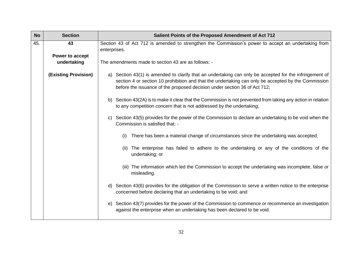| <b>No</b> | <b>Section</b>                 | Salient Points of the Proposed Amendment of Act 712                                                                                                                                                                                                                                         |
|-----------|--------------------------------|---------------------------------------------------------------------------------------------------------------------------------------------------------------------------------------------------------------------------------------------------------------------------------------------|
| 45.       | 43                             | Section 43 of Act 712 is amended to strengthen the Commission's power to accept an undertaking from<br>enterprises.                                                                                                                                                                         |
|           | Power to accept<br>undertaking | The amendments made to section 43 are as follows: -                                                                                                                                                                                                                                         |
|           | <b>(Existing Provision)</b>    | a) Section 43(1) is amended to clarify that an undertaking can only be accepted for the infringement of<br>section 4 or section 10 prohibition and that the undertaking can only be accepted by the Commission<br>before the issuance of the proposed decision under section 36 of Act 712; |
|           |                                | b) Section 43(2A) is to make it clear that the Commission is not prevented from taking any action in relation<br>to any competition concern that is not addressed by the undertaking;                                                                                                       |
|           |                                | c) Section 43(5) provides for the power of the Commission to declare an undertaking to be void when the<br>Commission is satisfied that: -                                                                                                                                                  |
|           |                                | There has been a material change of circumstances since the undertaking was accepted;<br>(i)                                                                                                                                                                                                |
|           |                                | The enterprise has failed to adhere to the undertaking or any of the conditions of the<br>(ii)<br>undertaking; or                                                                                                                                                                           |
|           |                                | (iii) The information which led the Commission to accept the undertaking was incomplete, false or<br>misleading.                                                                                                                                                                            |
|           |                                | d) Section 43(6) provides for the obligation of the Commission to serve a written notice to the enterprise<br>concerned before declaring that an undertaking to be void; and                                                                                                                |
|           |                                | e) Section 43(7) provides for the power of the Commission to commence or recommence an investigation<br>against the enterprise when an undertaking has been declared to be void.                                                                                                            |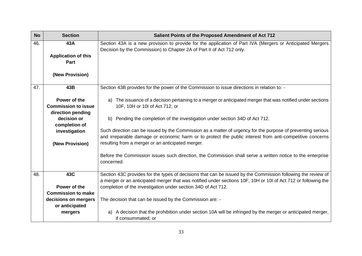| <b>No</b> | <b>Section</b>                                                  | Salient Points of the Proposed Amendment of Act 712                                                                                                                                                                            |
|-----------|-----------------------------------------------------------------|--------------------------------------------------------------------------------------------------------------------------------------------------------------------------------------------------------------------------------|
| 46.       | 43A<br><b>Application of this</b><br>Part                       | Section 43A is a new provision to provide for the application of Part IVA (Mergers or Anticipated Mergers<br>Decision by the Commission) to Chapter 2A of Part II of Act 712 only.                                             |
|           | (New Provision)                                                 |                                                                                                                                                                                                                                |
| 47.       | 43B                                                             | Section 43B provides for the power of the Commission to issue directions in relation to: -                                                                                                                                     |
|           | Power of the<br><b>Commission to issue</b><br>direction pending | a) The issuance of a decision pertaining to a merger or anticipated merger that was notified under sections<br>10F, 10H or 10l of Act 712; or                                                                                  |
|           | decision or<br>completion of                                    | Pending the completion of the investigation under section 34D of Act 712.<br>b)                                                                                                                                                |
|           | investigation                                                   | Such direction can be issued by the Commission as a matter of urgency for the purpose of preventing serious<br>and irreparable damage or economic harm or to protect the public interest from anti-competitive concerns        |
|           | (New Provision)                                                 | resulting from a merger or an anticipated merger.                                                                                                                                                                              |
|           |                                                                 | Before the Commission issues such direction, the Commission shall serve a written notice to the enterprise<br>concerned.                                                                                                       |
| 48.       | 43C                                                             | Section 43C provides for the types of decisions that can be issued by the Commission following the review of<br>a merger or an anticipated merger that was notified under sections 10F, 10H or 10I of Act 712 or following the |
|           | Power of the                                                    | completion of the investigation under section 34D of Act 712.                                                                                                                                                                  |
|           | <b>Commission to make</b>                                       |                                                                                                                                                                                                                                |
|           | decisions on mergers<br>or anticipated                          | The decision that can be issued by the Commission are: -                                                                                                                                                                       |
|           | mergers                                                         | A decision that the prohibition under section 10A will be infringed by the merger or anticipated merger,<br>a)<br>if consummated; or                                                                                           |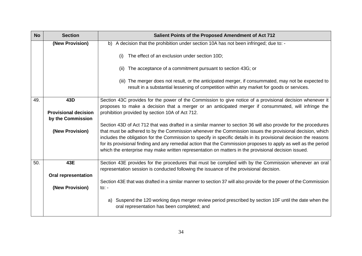| <b>No</b> | <b>Section</b>              | Salient Points of the Proposed Amendment of Act 712                                                                                                                                                                                                                                                                                                                                                                                                     |
|-----------|-----------------------------|---------------------------------------------------------------------------------------------------------------------------------------------------------------------------------------------------------------------------------------------------------------------------------------------------------------------------------------------------------------------------------------------------------------------------------------------------------|
|           | (New Provision)             | b) A decision that the prohibition under section 10A has not been infringed; due to: -                                                                                                                                                                                                                                                                                                                                                                  |
|           |                             | The effect of an exclusion under section 10D;<br>(i)                                                                                                                                                                                                                                                                                                                                                                                                    |
|           |                             | The acceptance of a commitment pursuant to section 43G; or<br>(ii)                                                                                                                                                                                                                                                                                                                                                                                      |
|           |                             | (iii) The merger does not result, or the anticipated merger, if consummated, may not be expected to<br>result in a substantial lessening of competition within any market for goods or services.                                                                                                                                                                                                                                                        |
| 49.       | 43D                         | Section 43C provides for the power of the Commission to give notice of a provisional decision whenever it<br>proposes to make a decision that a merger or an anticipated merger if consummated, will infringe the                                                                                                                                                                                                                                       |
|           | <b>Provisional decision</b> | prohibition provided by section 10A of Act 712.                                                                                                                                                                                                                                                                                                                                                                                                         |
|           | by the Commission           |                                                                                                                                                                                                                                                                                                                                                                                                                                                         |
|           |                             | Section 43D of Act 712 that was drafted in a similar manner to section 36 will also provide for the procedures                                                                                                                                                                                                                                                                                                                                          |
|           | (New Provision)             | that must be adhered to by the Commission whenever the Commission issues the provisional decision, which<br>includes the obligation for the Commission to specify in specific details in its provisional decision the reasons<br>for its provisional finding and any remedial action that the Commission proposes to apply as well as the period<br>which the enterprise may make written representation on matters in the provisional decision issued. |
| 50.       | 43E                         | Section 43E provides for the procedures that must be complied with by the Commission whenever an oral<br>representation session is conducted following the issuance of the provisional decision.                                                                                                                                                                                                                                                        |
|           | <b>Oral representation</b>  |                                                                                                                                                                                                                                                                                                                                                                                                                                                         |
|           |                             | Section 43E that was drafted in a similar manner to section 37 will also provide for the power of the Commission                                                                                                                                                                                                                                                                                                                                        |
|           | (New Provision)             | to: -                                                                                                                                                                                                                                                                                                                                                                                                                                                   |
|           |                             | a) Suspend the 120 working days merger review period prescribed by section 10F until the date when the<br>oral representation has been completed; and                                                                                                                                                                                                                                                                                                   |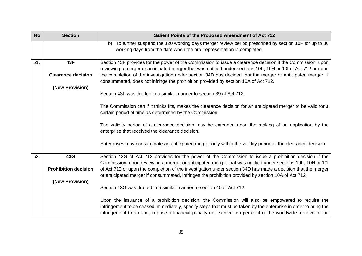| <b>No</b> | <b>Section</b>              | Salient Points of the Proposed Amendment of Act 712                                                                                                                                                                                                                                                                                |
|-----------|-----------------------------|------------------------------------------------------------------------------------------------------------------------------------------------------------------------------------------------------------------------------------------------------------------------------------------------------------------------------------|
|           |                             | b) To further suspend the 120 working days merger review period prescribed by section 10F for up to 30<br>working days from the date when the oral representation is completed.                                                                                                                                                    |
| 51.       | 43F                         | Section 43F provides for the power of the Commission to issue a clearance decision if the Commission, upon<br>reviewing a merger or anticipated merger that was notified under sections 10F, 10H or 10I of Act 712 or upon                                                                                                         |
|           | <b>Clearance decision</b>   | the completion of the investigation under section 34D has decided that the merger or anticipated merger, if<br>consummated, does not infringe the prohibition provided by section 10A of Act 712.                                                                                                                                  |
|           | (New Provision)             | Section 43F was drafted in a similar manner to section 39 of Act 712.                                                                                                                                                                                                                                                              |
|           |                             | The Commission can if it thinks fits, makes the clearance decision for an anticipated merger to be valid for a<br>certain period of time as determined by the Commission.                                                                                                                                                          |
|           |                             | The validity period of a clearance decision may be extended upon the making of an application by the<br>enterprise that received the clearance decision.                                                                                                                                                                           |
|           |                             | Enterprises may consummate an anticipated merger only within the validity period of the clearance decision.                                                                                                                                                                                                                        |
| 52.       | 43G                         | Section 43G of Act 712 provides for the power of the Commission to issue a prohibition decision if the<br>Commission, upon reviewing a merger or anticipated merger that was notified under sections 10F, 10H or 10I                                                                                                               |
|           | <b>Prohibition decision</b> | of Act 712 or upon the completion of the investigation under section 34D has made a decision that the merger<br>or anticipated merger if consummated, infringes the prohibition provided by section 10A of Act 712.                                                                                                                |
|           | (New Provision)             |                                                                                                                                                                                                                                                                                                                                    |
|           |                             | Section 43G was drafted in a similar manner to section 40 of Act 712.                                                                                                                                                                                                                                                              |
|           |                             | Upon the issuance of a prohibition decision, the Commission will also be empowered to require the<br>infringement to be ceased immediately, specify steps that must be taken by the enterprise in order to bring the<br>infringement to an end, impose a financial penalty not exceed ten per cent of the worldwide turnover of an |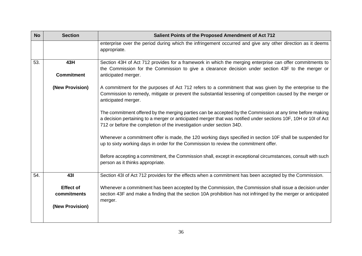| <b>No</b> | <b>Section</b>                                     | Salient Points of the Proposed Amendment of Act 712                                                                                                                                                                                                                                                  |
|-----------|----------------------------------------------------|------------------------------------------------------------------------------------------------------------------------------------------------------------------------------------------------------------------------------------------------------------------------------------------------------|
|           |                                                    | enterprise over the period during which the infringement occurred and give any other direction as it deems<br>appropriate.                                                                                                                                                                           |
| 53.       | 43H                                                | Section 43H of Act 712 provides for a framework in which the merging enterprise can offer commitments to<br>the Commission for the Commission to give a clearance decision under section 43F to the merger or                                                                                        |
|           | <b>Commitment</b>                                  | anticipated merger.                                                                                                                                                                                                                                                                                  |
|           | (New Provision)                                    | A commitment for the purposes of Act 712 refers to a commitment that was given by the enterprise to the<br>Commission to remedy, mitigate or prevent the substantial lessening of competition caused by the merger or<br>anticipated merger.                                                         |
|           |                                                    | The commitment offered by the merging parties can be accepted by the Commission at any time before making<br>a decision pertaining to a merger or anticipated merger that was notified under sections 10F, 10H or 10I of Act<br>712 or before the completion of the investigation under section 34D. |
|           |                                                    | Whenever a commitment offer is made, the 120 working days specified in section 10F shall be suspended for<br>up to sixty working days in order for the Commission to review the commitment offer.                                                                                                    |
|           |                                                    | Before accepting a commitment, the Commission shall, except in exceptional circumstances, consult with such<br>person as it thinks appropriate.                                                                                                                                                      |
| 54.       | 431                                                | Section 43I of Act 712 provides for the effects when a commitment has been accepted by the Commission.                                                                                                                                                                                               |
|           | <b>Effect of</b><br>commitments<br>(New Provision) | Whenever a commitment has been accepted by the Commission, the Commission shall issue a decision under<br>section 43F and make a finding that the section 10A prohibition has not infringed by the merger or anticipated<br>merger.                                                                  |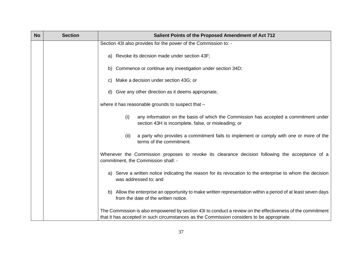| <b>No</b> | <b>Section</b> | Salient Points of the Proposed Amendment of Act 712                                                                                                                                                     |
|-----------|----------------|---------------------------------------------------------------------------------------------------------------------------------------------------------------------------------------------------------|
|           |                | Section 43I also provides for the power of the Commission to: -                                                                                                                                         |
|           |                | a) Revoke its decision made under section 43F;                                                                                                                                                          |
|           |                | b) Commence or continue any investigation under section 34D;                                                                                                                                            |
|           |                | Make a decision under section 43G; or<br>C)                                                                                                                                                             |
|           |                | d) Give any other direction as it deems appropriate,                                                                                                                                                    |
|           |                | where it has reasonable grounds to suspect that -                                                                                                                                                       |
|           |                | any information on the basis of which the Commission has accepted a commitment under<br>(i)<br>section 43H is incomplete, false, or misleading; or                                                      |
|           |                | a party who provides a commitment fails to implement or comply with one or more of the<br>(ii)<br>terms of the commitment.                                                                              |
|           |                | Whenever the Commission proposes to revoke its clearance decision following the acceptance of a<br>commitment, the Commission shall: -                                                                  |
|           |                | a) Serve a written notice indicating the reason for its revocation to the enterprise to whom the decision<br>was addressed to; and                                                                      |
|           |                | Allow the enterprise an opportunity to make written representation within a period of at least seven days<br>b)<br>from the date of the written notice.                                                 |
|           |                | The Commission is also empowered by section 43I to conduct a review on the effectiveness of the commitment<br>that it has accepted in such circumstances as the Commission considers to be appropriate. |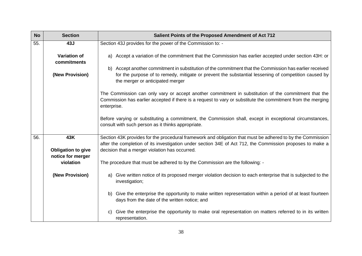| <b>No</b> | <b>Section</b>                     | Salient Points of the Proposed Amendment of Act 712                                                                                                                                                                                                 |
|-----------|------------------------------------|-----------------------------------------------------------------------------------------------------------------------------------------------------------------------------------------------------------------------------------------------------|
| 55.       | 43J                                | Section 43J provides for the power of the Commission to: -                                                                                                                                                                                          |
|           | <b>Variation of</b><br>commitments | Accept a variation of the commitment that the Commission has earlier accepted under section 43H: or<br>a)                                                                                                                                           |
|           | (New Provision)                    | b) Accept another commitment in substitution of the commitment that the Commission has earlier received<br>for the purpose of to remedy, mitigate or prevent the substantial lessening of competition caused by<br>the merger or anticipated merger |
|           |                                    | The Commission can only vary or accept another commitment in substitution of the commitment that the<br>Commission has earlier accepted if there is a request to vary or substitute the commitment from the merging<br>enterprise.                  |
|           |                                    | Before varying or substituting a commitment, the Commission shall, except in exceptional circumstances,<br>consult with such person as it thinks appropriate.                                                                                       |
| 56.       | 43K                                | Section 43K provides for the procedural framework and obligation that must be adhered to by the Commission                                                                                                                                          |
|           | <b>Obligation to give</b>          | after the completion of its investigation under section 34E of Act 712, the Commission proposes to make a<br>decision that a merger violation has occurred.                                                                                         |
|           | notice for merger                  |                                                                                                                                                                                                                                                     |
|           | violation                          | The procedure that must be adhered to by the Commission are the following: -                                                                                                                                                                        |
|           | (New Provision)                    | Give written notice of its proposed merger violation decision to each enterprise that is subjected to the<br>a)<br>investigation;                                                                                                                   |
|           |                                    | Give the enterprise the opportunity to make written representation within a period of at least fourteen<br>b)<br>days from the date of the written notice; and                                                                                      |
|           |                                    | Give the enterprise the opportunity to make oral representation on matters referred to in its written<br>C)<br>representation.                                                                                                                      |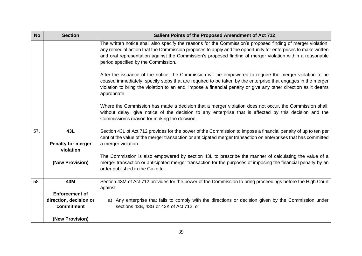| <b>No</b> | <b>Section</b>                         | Salient Points of the Proposed Amendment of Act 712                                                                                                                                                                                                                                                                                                                               |  |  |
|-----------|----------------------------------------|-----------------------------------------------------------------------------------------------------------------------------------------------------------------------------------------------------------------------------------------------------------------------------------------------------------------------------------------------------------------------------------|--|--|
|           |                                        | The written notice shall also specify the reasons for the Commission's proposed finding of merger violation,<br>any remedial action that the Commission proposes to apply and the opportunity for enterprises to make written<br>and oral representation against the Commission's proposed finding of merger violation within a reasonable<br>period specified by the Commission. |  |  |
|           |                                        | After the issuance of the notice, the Commission will be empowered to require the merger violation to be<br>ceased immediately, specify steps that are required to be taken by the enterprise that engages in the merger<br>violation to bring the violation to an end, impose a financial penalty or give any other direction as it deems<br>appropriate.                        |  |  |
|           |                                        | Where the Commission has made a decision that a merger violation does not occur, the Commission shall,<br>without delay, give notice of the decision to any enterprise that is affected by this decision and the<br>Commission's reason for making the decision.                                                                                                                  |  |  |
| 57.       | 43L                                    | Section 43L of Act 712 provides for the power of the Commission to impose a financial penalty of up to ten per                                                                                                                                                                                                                                                                    |  |  |
|           | <b>Penalty for merger</b><br>violation | cent of the value of the merger transaction or anticipated merger transaction on enterprises that has committed<br>a merger violation.                                                                                                                                                                                                                                            |  |  |
|           |                                        | The Commission is also empowered by section 43L to prescribe the manner of calculating the value of a                                                                                                                                                                                                                                                                             |  |  |
|           | (New Provision)                        | merger transaction or anticipated merger transaction for the purposes of imposing the financial penalty by an<br>order published in the Gazette.                                                                                                                                                                                                                                  |  |  |
| 58.       | 43M                                    | Section 43M of Act 712 provides for the power of the Commission to bring proceedings before the High Court                                                                                                                                                                                                                                                                        |  |  |
|           | <b>Enforcement of</b>                  | against                                                                                                                                                                                                                                                                                                                                                                           |  |  |
|           | direction, decision or<br>commitment   | a) Any enterprise that fails to comply with the directions or decision given by the Commission under<br>sections 43B, 43G or 43K of Act 712; or                                                                                                                                                                                                                                   |  |  |
|           | (New Provision)                        |                                                                                                                                                                                                                                                                                                                                                                                   |  |  |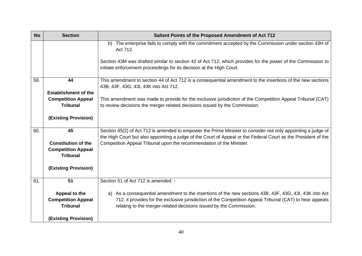| <b>No</b> | <b>Section</b>                               | Salient Points of the Proposed Amendment of Act 712                                                                                                                                                                            |  |  |
|-----------|----------------------------------------------|--------------------------------------------------------------------------------------------------------------------------------------------------------------------------------------------------------------------------------|--|--|
|           |                                              | b) The enterprise fails to comply with the commitment accepted by the Commission under section 43H of<br>Act 712.                                                                                                              |  |  |
|           |                                              | Section 43M was drafted similar to section 42 of Act 712, which provides for the power of the Commission to<br>initiate enforcement proceedings for its decision at the High Court.                                            |  |  |
| 59.       | 44                                           | This amendment to section 44 of Act 712 is a consequential amendment to the insertions of the new sections<br>43B, 43F, 43G, 43I, 43K into Act 712.                                                                            |  |  |
|           | <b>Establishment of the</b>                  |                                                                                                                                                                                                                                |  |  |
|           | <b>Competition Appeal</b><br><b>Tribunal</b> | This amendment was made to provide for the exclusive jurisdiction of the Competition Appeal Tribunal (CAT)<br>to review decisions the merger-related decisions issued by the Commission.                                       |  |  |
|           | (Existing Provision)                         |                                                                                                                                                                                                                                |  |  |
| 60.       | 45                                           | Section 45(2) of Act 712 is amended to empower the Prime Minister to consider not only appointing a judge of<br>the High Court but also appointing a judge of the Court of Appeal or the Federal Court as the President of the |  |  |
|           | <b>Constitution of the</b>                   | Competition Appeal Tribunal upon the recommendation of the Minister.                                                                                                                                                           |  |  |
|           | <b>Competition Appeal</b>                    |                                                                                                                                                                                                                                |  |  |
|           | <b>Tribunal</b>                              |                                                                                                                                                                                                                                |  |  |
|           | <b>(Existing Provision)</b>                  |                                                                                                                                                                                                                                |  |  |
| 61.       | 51                                           | Section 51 of Act 712 is amended: -                                                                                                                                                                                            |  |  |
|           | Appeal to the                                | a) As a consequential amendment to the insertions of the new sections 43B, 43F, 43G, 43I, 43K into Act                                                                                                                         |  |  |
|           | <b>Competition Appeal</b>                    | 712, it provides for the exclusive jurisdiction of the Competition Appeal Tribunal (CAT) to hear appeals                                                                                                                       |  |  |
|           | <b>Tribunal</b>                              | relating to the merger-related decisions issued by the Commission;                                                                                                                                                             |  |  |
|           | (Existing Provision)                         |                                                                                                                                                                                                                                |  |  |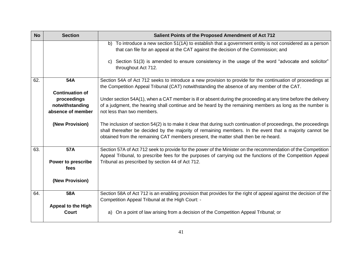| <b>No</b> | <b>Section</b>                                                                | Salient Points of the Proposed Amendment of Act 712                                                                                                                                                                                                                                                                 |  |  |
|-----------|-------------------------------------------------------------------------------|---------------------------------------------------------------------------------------------------------------------------------------------------------------------------------------------------------------------------------------------------------------------------------------------------------------------|--|--|
|           |                                                                               | b) To introduce a new section 51(1A) to establish that a government entity is not considered as a person<br>that can file for an appeal at the CAT against the decision of the Commission; and                                                                                                                      |  |  |
|           |                                                                               | Section 51(3) is amended to ensure consistency in the usage of the word "advocate and solicitor"<br>$\mathbf{C}$<br>throughout Act 712.                                                                                                                                                                             |  |  |
| 62.       | 54A                                                                           | Section 54A of Act 712 seeks to introduce a new provision to provide for the continuation of proceedings at<br>the Competition Appeal Tribunal (CAT) notwithstanding the absence of any member of the CAT.                                                                                                          |  |  |
|           | <b>Continuation of</b><br>proceedings<br>notwithstanding<br>absence of member | Under section 54A(1), when a CAT member is ill or absent during the proceeding at any time before the delivery<br>of a judgment, the hearing shall continue and be heard by the remaining members as long as the number is<br>not less than two members.                                                            |  |  |
|           | (New Provision)                                                               | The inclusion of section 54(2) is to make it clear that during such continuation of proceedings, the proceedings<br>shall thereafter be decided by the majority of remaining members. In the event that a majority cannot be<br>obtained from the remaining CAT members present, the matter shall then be re-heard. |  |  |
| 63.       | 57A                                                                           | Section 57A of Act 712 seek to provide for the power of the Minister on the recommendation of the Competition<br>Appeal Tribunal, to prescribe fees for the purposes of carrying out the functions of the Competition Appeal                                                                                        |  |  |
|           | <b>Power to prescribe</b><br>fees                                             | Tribunal as prescribed by section 44 of Act 712.                                                                                                                                                                                                                                                                    |  |  |
|           | (New Provision)                                                               |                                                                                                                                                                                                                                                                                                                     |  |  |
| 64.       | 58A                                                                           | Section 58A of Act 712 is an enabling provision that provides for the right of appeal against the decision of the<br>Competition Appeal Tribunal at the High Court: -                                                                                                                                               |  |  |
|           | <b>Appeal to the High</b><br><b>Court</b>                                     | On a point of law arising from a decision of the Competition Appeal Tribunal; or<br>a)                                                                                                                                                                                                                              |  |  |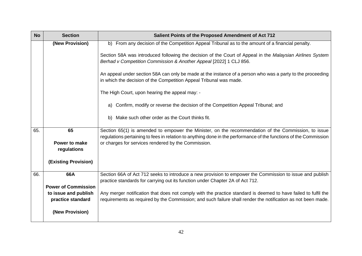| <b>No</b> | <b>Section</b>             | Salient Points of the Proposed Amendment of Act 712                                                                                                                                                                      |  |  |
|-----------|----------------------------|--------------------------------------------------------------------------------------------------------------------------------------------------------------------------------------------------------------------------|--|--|
|           | (New Provision)            | b) From any decision of the Competition Appeal Tribunal as to the amount of a financial penalty.                                                                                                                         |  |  |
|           |                            | Section 58A was introduced following the decision of the Court of Appeal in the Malaysian Airlines System<br>Berhad v Competition Commission & Another Appeal [2022] 1 CLJ 856.                                          |  |  |
|           |                            | An appeal under section 58A can only be made at the instance of a person who was a party to the proceeding<br>in which the decision of the Competition Appeal Tribunal was made.                                         |  |  |
|           |                            | The High Court, upon hearing the appeal may: -                                                                                                                                                                           |  |  |
|           |                            | Confirm, modify or reverse the decision of the Competition Appeal Tribunal; and<br>a)                                                                                                                                    |  |  |
|           |                            | Make such other order as the Court thinks fit.<br>b)                                                                                                                                                                     |  |  |
| 65.       | 65                         | Section 65(1) is amended to empower the Minister, on the recommendation of the Commission, to issue<br>regulations pertaining to fees in relation to anything done in the performance of the functions of the Commission |  |  |
|           | Power to make              | or charges for services rendered by the Commission.                                                                                                                                                                      |  |  |
|           | regulations                |                                                                                                                                                                                                                          |  |  |
|           | (Existing Provision)       |                                                                                                                                                                                                                          |  |  |
| 66.       | 66A                        | Section 66A of Act 712 seeks to introduce a new provision to empower the Commission to issue and publish<br>practice standards for carrying out its function under Chapter 2A of Act 712.                                |  |  |
|           | <b>Power of Commission</b> |                                                                                                                                                                                                                          |  |  |
|           | to issue and publish       | Any merger notification that does not comply with the practice standard is deemed to have failed to fulfil the                                                                                                           |  |  |
|           | practice standard          | requirements as required by the Commission; and such failure shall render the notification as not been made.                                                                                                             |  |  |
|           | (New Provision)            |                                                                                                                                                                                                                          |  |  |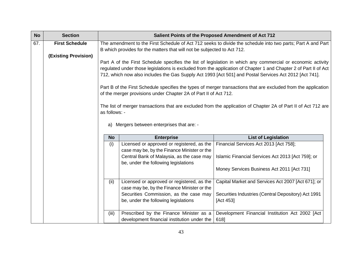| <b>No</b> | <b>Section</b>              |                                                                                                                                                                                                                                                                                                                                           |                                                                                           | Salient Points of the Proposed Amendment of Act 712              |
|-----------|-----------------------------|-------------------------------------------------------------------------------------------------------------------------------------------------------------------------------------------------------------------------------------------------------------------------------------------------------------------------------------------|-------------------------------------------------------------------------------------------|------------------------------------------------------------------|
| 67.       | <b>First Schedule</b>       | The amendment to the First Schedule of Act 712 seeks to divide the schedule into two parts; Part A and Part                                                                                                                                                                                                                               |                                                                                           |                                                                  |
|           | <b>(Existing Provision)</b> | B which provides for the matters that will not be subjected to Act 712.                                                                                                                                                                                                                                                                   |                                                                                           |                                                                  |
|           |                             | Part A of the First Schedule specifies the list of legislation in which any commercial or economic activity<br>regulated under those legislations is excluded from the application of Chapter 1 and Chapter 2 of Part II of Act<br>712, which now also includes the Gas Supply Act 1993 [Act 501] and Postal Services Act 2012 [Act 741]. |                                                                                           |                                                                  |
|           |                             | Part B of the First Schedule specifies the types of merger transactions that are excluded from the application<br>of the merger provisions under Chapter 2A of Part II of Act 712.                                                                                                                                                        |                                                                                           |                                                                  |
|           |                             | The list of merger transactions that are excluded from the application of Chapter 2A of Part II of Act 712 are<br>as follows: -                                                                                                                                                                                                           |                                                                                           |                                                                  |
|           |                             | Mergers between enterprises that are: -<br>a)                                                                                                                                                                                                                                                                                             |                                                                                           |                                                                  |
|           |                             | <b>No</b>                                                                                                                                                                                                                                                                                                                                 | <b>Enterprise</b>                                                                         | <b>List of Legislation</b>                                       |
|           |                             | (i)                                                                                                                                                                                                                                                                                                                                       | Licensed or approved or registered, as the<br>case may be, by the Finance Minister or the | Financial Services Act 2013 [Act 758];                           |
|           |                             |                                                                                                                                                                                                                                                                                                                                           | Central Bank of Malaysia, as the case may<br>be, under the following legislations         | Islamic Financial Services Act 2013 [Act 759]; or                |
|           |                             |                                                                                                                                                                                                                                                                                                                                           |                                                                                           | Money Services Business Act 2011 [Act 731]                       |
|           |                             | (ii)                                                                                                                                                                                                                                                                                                                                      | Licensed or approved or registered, as the<br>case may be, by the Finance Minister or the | Capital Market and Services Act 2007 [Act 671]; or               |
|           |                             |                                                                                                                                                                                                                                                                                                                                           | Securities Commission, as the case may<br>be, under the following legislations            | Securities Industries (Central Depository) Act 1991<br>[Act 453] |
|           |                             | (iii)                                                                                                                                                                                                                                                                                                                                     | Prescribed by the Finance Minister as a<br>development financial institution under the    | Development Financial Institution Act 2002 [Act<br>618]          |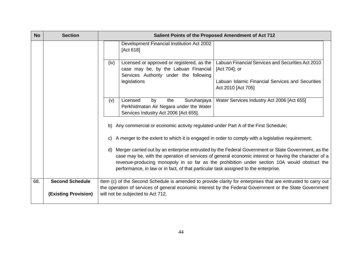| <b>No</b> | <b>Section</b>              | Salient Points of the Proposed Amendment of Act 712                                                                                                                                                                                                                                                                                                                                                       |  |
|-----------|-----------------------------|-----------------------------------------------------------------------------------------------------------------------------------------------------------------------------------------------------------------------------------------------------------------------------------------------------------------------------------------------------------------------------------------------------------|--|
|           |                             | Development Financial Institution Act 2002<br>[Act 618]                                                                                                                                                                                                                                                                                                                                                   |  |
|           |                             | Labuan Financial Services and Securities Act 2010<br>Licensed or approved or registered, as the<br>(iv)<br>case may be, by the Labuan Financial<br>[Act 704]; or<br>Services Authority under the following                                                                                                                                                                                                |  |
|           |                             | Labuan Islamic Financial Services and Securities<br>legislations<br>Act 2010 [Act 705]                                                                                                                                                                                                                                                                                                                    |  |
|           |                             | Suruhanjaya<br>Water Services Industry Act 2006 [Act 655]<br>(v)<br>Licensed<br>by<br>the<br>Perkhidmatan Air Negara under the Water<br>Services Industry Act 2006 [Act 655].                                                                                                                                                                                                                             |  |
|           |                             | b) Any commercial or economic activity regulated under Part A of the First Schedule;                                                                                                                                                                                                                                                                                                                      |  |
|           |                             | A merger to the extent to which it is engaged in order to comply with a legislative requirement;<br>C)                                                                                                                                                                                                                                                                                                    |  |
|           |                             | Merger carried out by an enterprise entrusted by the Federal Government or State Government, as the<br>d)<br>case may be, with the operation of services of general economic interest or having the character of a<br>revenue-producing monopoly in so far as the prohibition under section 10A would obstruct the<br>performance, in law or in fact, of that particular task assigned to the enterprise. |  |
| 68.       | <b>Second Schedule</b>      | Item (c) of the Second Schedule is amended to provide clarity for enterprises that are entrusted to carry out                                                                                                                                                                                                                                                                                             |  |
|           | <b>(Existing Provision)</b> | the operation of services of general economic interest by the Federal Government or the State Government<br>will not be subjected to Act 712.                                                                                                                                                                                                                                                             |  |